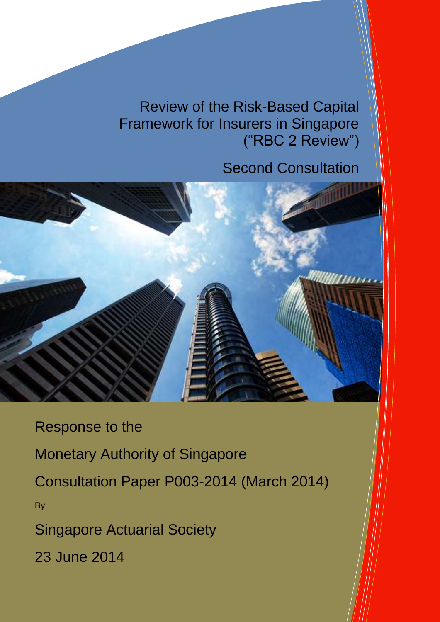Review of the Risk-Based Capital Framework for Insurers in Singapore ("RBC 2 Review")

# Second Consultation



Response to the Monetary Authority of Singapore Consultation Paper P003-2014 (March 2014) **By** Singapore Actuarial Society 23 June 2014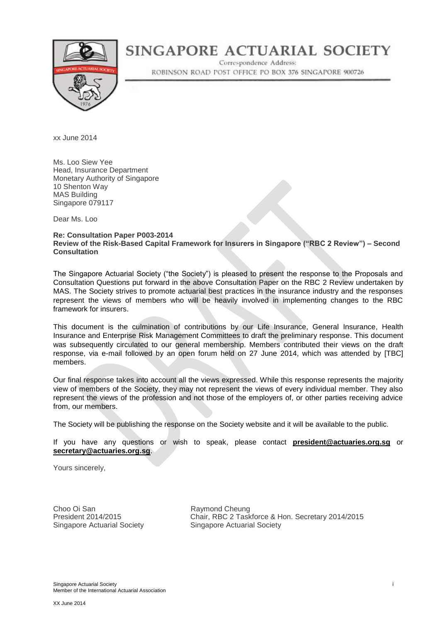

# SINGAPORE ACTUARIAL SOCIETY

Correspondence Address: ROBINSON ROAD POST OFFICE PO BOX 376 SINGAPORE 900726

xx June 2014

Ms. Loo Siew Yee Head, Insurance Department Monetary Authority of Singapore 10 Shenton Way MAS Building Singapore 079117

Dear Ms. Loo

#### **Re: Consultation Paper P003-2014 Review of the Risk-Based Capital Framework for Insurers in Singapore ("RBC 2 Review") – Second Consultation**

The Singapore Actuarial Society ("the Society") is pleased to present the response to the Proposals and Consultation Questions put forward in the above Consultation Paper on the RBC 2 Review undertaken by MAS. The Society strives to promote actuarial best practices in the insurance industry and the responses represent the views of members who will be heavily involved in implementing changes to the RBC framework for insurers.

This document is the culmination of contributions by our Life Insurance, General Insurance, Health Insurance and Enterprise Risk Management Committees to draft the preliminary response. This document was subsequently circulated to our general membership. Members contributed their views on the draft response, via e-mail followed by an open forum held on 27 June 2014, which was attended by [TBC] members.

Our final response takes into account all the views expressed. While this response represents the majority view of members of the Society, they may not represent the views of every individual member. They also represent the views of the profession and not those of the employers of, or other parties receiving advice from, our members.

The Society will be publishing the response on the Society website and it will be available to the public.

If you have any questions or wish to speak, please contact **[president@actuaries.org.sg](mailto:president@actuaries.org.sg)** or **[secretary@actuaries.org.sg](mailto:Jhoffman@MunichRe.com)**.

Yours sincerely,

Choo Oi San Raymond Cheung<br>
President 2014/2015 Chair. RBC 2 Task

Chair, RBC 2 Taskforce & Hon. Secretary 2014/2015 Singapore Actuarial Society **Singapore Actuarial Society**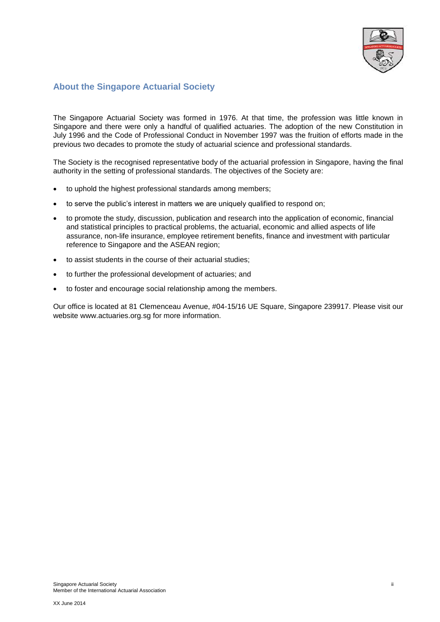

# **About the Singapore Actuarial Society**

The Singapore Actuarial Society was formed in 1976. At that time, the profession was little known in Singapore and there were only a handful of qualified actuaries. The adoption of the new Constitution in July 1996 and the Code of Professional Conduct in November 1997 was the fruition of efforts made in the previous two decades to promote the study of actuarial science and professional standards.

The Society is the recognised representative body of the actuarial profession in Singapore, having the final authority in the setting of professional standards. The objectives of the Society are:

- to uphold the highest professional standards among members;
- to serve the public's interest in matters we are uniquely qualified to respond on;
- to promote the study, discussion, publication and research into the application of economic, financial and statistical principles to practical problems, the actuarial, economic and allied aspects of life assurance, non-life insurance, employee retirement benefits, finance and investment with particular reference to Singapore and the ASEAN region;
- to assist students in the course of their actuarial studies;
- to further the professional development of actuaries; and
- to foster and encourage social relationship among the members.

Our office is located at 81 Clemenceau Avenue, #04-15/16 UE Square, Singapore 239917. Please visit our website [www.actuaries.org.sg](http://www.actuaries.org.sg/) for more information.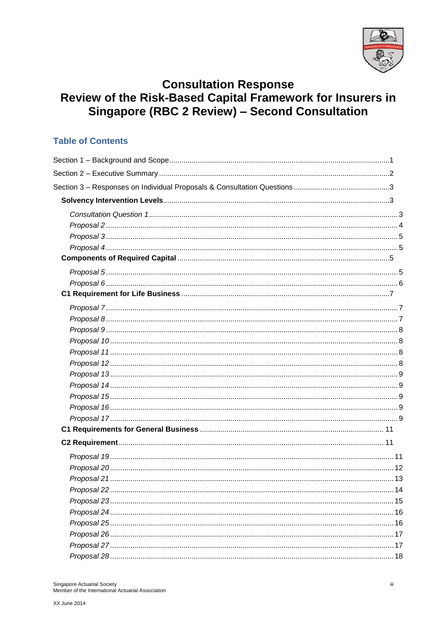

# **Consultation Response<br>Review of the Risk-Based Capital Framework for Insurers in** Singapore (RBC 2 Review) - Second Consultation

# **Table of Contents**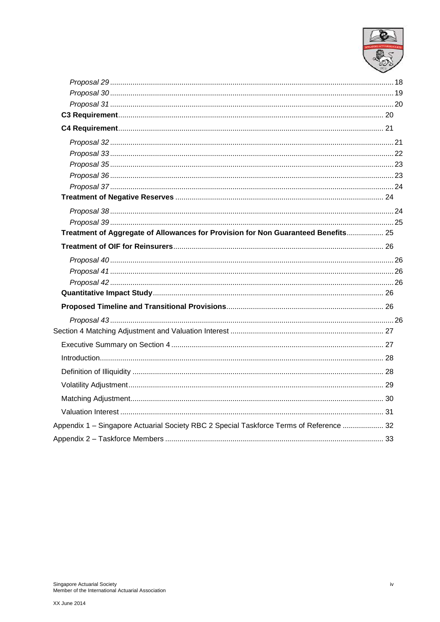

| Treatment of Aggregate of Allowances for Provision for Non Guaranteed Benefits 25       |  |
|-----------------------------------------------------------------------------------------|--|
|                                                                                         |  |
|                                                                                         |  |
|                                                                                         |  |
|                                                                                         |  |
|                                                                                         |  |
|                                                                                         |  |
|                                                                                         |  |
|                                                                                         |  |
|                                                                                         |  |
|                                                                                         |  |
|                                                                                         |  |
|                                                                                         |  |
|                                                                                         |  |
|                                                                                         |  |
|                                                                                         |  |
|                                                                                         |  |
|                                                                                         |  |
|                                                                                         |  |
|                                                                                         |  |
|                                                                                         |  |
|                                                                                         |  |
|                                                                                         |  |
|                                                                                         |  |
|                                                                                         |  |
|                                                                                         |  |
|                                                                                         |  |
|                                                                                         |  |
|                                                                                         |  |
| Appendix 1 - Singapore Actuarial Society RBC 2 Special Taskforce Terms of Reference  32 |  |
|                                                                                         |  |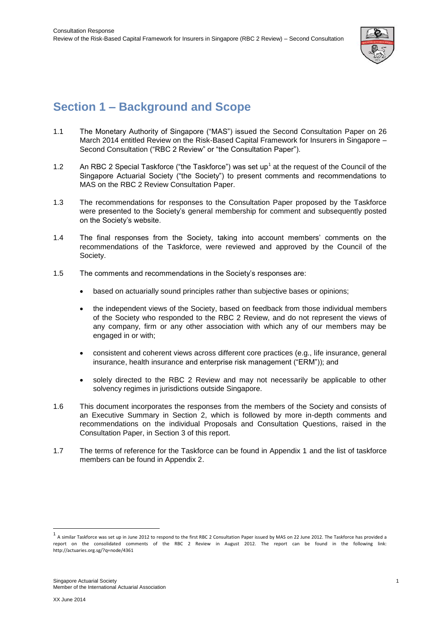

# <span id="page-5-0"></span>**Section 1 – Background and Scope**

- 1.1 The Monetary Authority of Singapore ("MAS") issued the Second Consultation Paper on 26 March 2014 entitled Review on the Risk-Based Capital Framework for Insurers in Singapore – Second Consultation ("RBC 2 Review" or "the Consultation Paper").
- 1.2 An RBC 2 Special Taskforce ("the Taskforce") was set up<sup>1</sup> at the request of the Council of the Singapore Actuarial Society ("the Society") to present comments and recommendations to MAS on the RBC 2 Review Consultation Paper.
- 1.3 The recommendations for responses to the Consultation Paper proposed by the Taskforce were presented to the Society's general membership for comment and subsequently posted on the Society's website.
- 1.4 The final responses from the Society, taking into account members' comments on the recommendations of the Taskforce, were reviewed and approved by the Council of the Society.
- 1.5 The comments and recommendations in the Society's responses are:
	- based on actuarially sound principles rather than subjective bases or opinions;
	- the independent views of the Society, based on feedback from those individual members of the Society who responded to the RBC 2 Review, and do not represent the views of any company, firm or any other association with which any of our members may be engaged in or with;
	- consistent and coherent views across different core practices (e.g., life insurance, general insurance, health insurance and enterprise risk management ("ERM")); and
	- solely directed to the RBC 2 Review and may not necessarily be applicable to other solvency regimes in jurisdictions outside Singapore.
- 1.6 This document incorporates the responses from the members of the Society and consists of an Executive Summary in Section 2, which is followed by more in-depth comments and recommendations on the individual Proposals and Consultation Questions, raised in the Consultation Paper, in Section 3 of this report.
- 1.7 The terms of reference for the Taskforce can be found in Appendix 1 and the list of taskforce members can be found in Appendix 2.

 $\overline{a}$ 

<sup>1&</sup>lt;br>A similar Taskforce was set up in June 2012 to respond to the first RBC 2 Consultation Paper issued by MAS on 22 June 2012. The Taskforce has provided a report on the consolidated comments of the RBC 2 Review in August 2012. The report can be found in the following link: http://actuaries.org.sg/?q=node/4361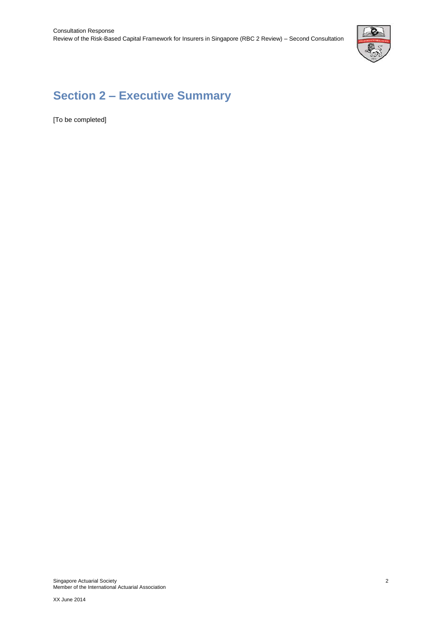

# <span id="page-6-0"></span>**Section 2 – Executive Summary**

[To be completed]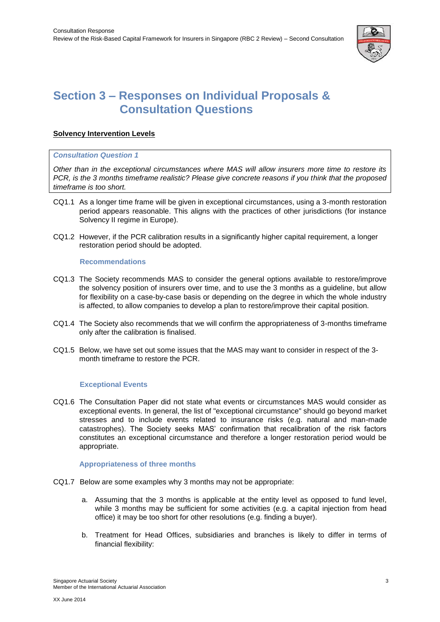

# <span id="page-7-0"></span>**Section 3 – Responses on Individual Proposals & Consultation Questions**

# <span id="page-7-1"></span>**Solvency Intervention Levels**

#### <span id="page-7-2"></span>*Consultation Question 1*

*Other than in the exceptional circumstances where MAS will allow insurers more time to restore its PCR, is the 3 months timeframe realistic? Please give concrete reasons if you think that the proposed timeframe is too short.*

- CQ1.1 As a longer time frame will be given in exceptional circumstances, using a 3-month restoration period appears reasonable. This aligns with the practices of other jurisdictions (for instance Solvency II regime in Europe).
- CQ1.2 However, if the PCR calibration results in a significantly higher capital requirement, a longer restoration period should be adopted.

# **Recommendations**

- CQ1.3 The Society recommends MAS to consider the general options available to restore/improve the solvency position of insurers over time, and to use the 3 months as a guideline, but allow for flexibility on a case-by-case basis or depending on the degree in which the whole industry is affected, to allow companies to develop a plan to restore/improve their capital position.
- CQ1.4 The Society also recommends that we will confirm the appropriateness of 3-months timeframe only after the calibration is finalised.
- CQ1.5 Below, we have set out some issues that the MAS may want to consider in respect of the 3 month timeframe to restore the PCR.

# **Exceptional Events**

CQ1.6 The Consultation Paper did not state what events or circumstances MAS would consider as exceptional events. In general, the list of "exceptional circumstance" should go beyond market stresses and to include events related to insurance risks (e.g. natural and man-made catastrophes). The Society seeks MAS' confirmation that recalibration of the risk factors constitutes an exceptional circumstance and therefore a longer restoration period would be appropriate.

# **Appropriateness of three months**

- CQ1.7 Below are some examples why 3 months may not be appropriate:
	- a. Assuming that the 3 months is applicable at the entity level as opposed to fund level, while 3 months may be sufficient for some activities (e.g. a capital injection from head office) it may be too short for other resolutions (e.g. finding a buyer).
	- b. Treatment for Head Offices, subsidiaries and branches is likely to differ in terms of financial flexibility: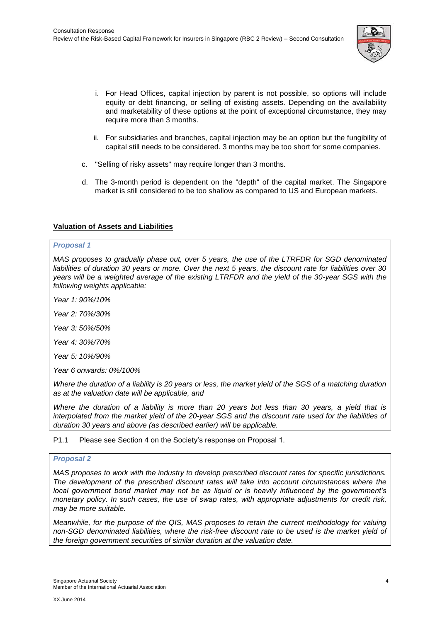

- i. For Head Offices, capital injection by parent is not possible, so options will include equity or debt financing, or selling of existing assets. Depending on the availability and marketability of these options at the point of exceptional circumstance, they may require more than 3 months.
- ii. For subsidiaries and branches, capital injection may be an option but the fungibility of capital still needs to be considered. 3 months may be too short for some companies.
- c. "Selling of risky assets" may require longer than 3 months.
- d. The 3-month period is dependent on the "depth" of the capital market. The Singapore market is still considered to be too shallow as compared to US and European markets.

# **Valuation of Assets and Liabilities**

# *Proposal 1*

*MAS proposes to gradually phase out, over 5 years, the use of the LTRFDR for SGD denominated liabilities of duration 30 years or more. Over the next 5 years, the discount rate for liabilities over 30 years will be a weighted average of the existing LTRFDR and the yield of the 30-year SGS with the following weights applicable:* 

*Year 1: 90%/10%* 

*Year 2: 70%/30%* 

*Year 3: 50%/50%* 

*Year 4: 30%/70%* 

*Year 5: 10%/90%* 

*Year 6 onwards: 0%/100%* 

*Where the duration of a liability is 20 years or less, the market yield of the SGS of a matching duration as at the valuation date will be applicable, and* 

*Where the duration of a liability is more than 20 years but less than 30 years, a yield that is interpolated from the market yield of the 20-year SGS and the discount rate used for the liabilities of duration 30 years and above (as described earlier) will be applicable.* 

P1.1 Please see Section 4 on the Society's response on Proposal 1.

#### <span id="page-8-0"></span>*Proposal 2*

*MAS proposes to work with the industry to develop prescribed discount rates for specific jurisdictions. The development of the prescribed discount rates will take into account circumstances where the local government bond market may not be as liquid or is heavily influenced by the government's monetary policy. In such cases, the use of swap rates, with appropriate adjustments for credit risk, may be more suitable.* 

*Meanwhile, for the purpose of the QIS, MAS proposes to retain the current methodology for valuing non-SGD denominated liabilities, where the risk-free discount rate to be used is the market yield of the foreign government securities of similar duration at the valuation date.*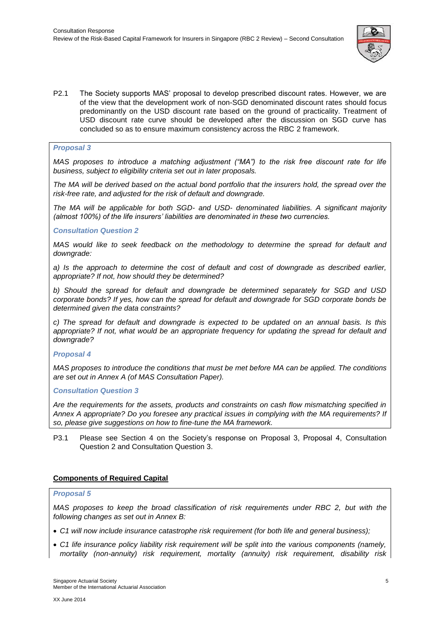

P2.1 The Society supports MAS' proposal to develop prescribed discount rates. However, we are of the view that the development work of non-SGD denominated discount rates should focus predominantly on the USD discount rate based on the ground of practicality. Treatment of USD discount rate curve should be developed after the discussion on SGD curve has concluded so as to ensure maximum consistency across the RBC 2 framework.

# <span id="page-9-0"></span>*Proposal 3*

*MAS proposes to introduce a matching adjustment ("MA") to the risk free discount rate for life business, subject to eligibility criteria set out in later proposals.* 

*The MA will be derived based on the actual bond portfolio that the insurers hold, the spread over the risk-free rate, and adjusted for the risk of default and downgrade.*

*The MA will be applicable for both SGD- and USD- denominated liabilities. A significant majority (almost 100%) of the life insurers' liabilities are denominated in these two currencies.*

# *Consultation Question 2*

*MAS would like to seek feedback on the methodology to determine the spread for default and downgrade:*

*a) Is the approach to determine the cost of default and cost of downgrade as described earlier, appropriate? If not, how should they be determined?*

*b) Should the spread for default and downgrade be determined separately for SGD and USD corporate bonds? If yes, how can the spread for default and downgrade for SGD corporate bonds be determined given the data constraints?*

*c) The spread for default and downgrade is expected to be updated on an annual basis. Is this appropriate? If not, what would be an appropriate frequency for updating the spread for default and downgrade?*

# <span id="page-9-1"></span>*Proposal 4*

*MAS proposes to introduce the conditions that must be met before MA can be applied. The conditions are set out in Annex A (of MAS Consultation Paper).*

# *Consultation Question 3*

*Are the requirements for the assets, products and constraints on cash flow mismatching specified in Annex A appropriate? Do you foresee any practical issues in complying with the MA requirements? If so, please give suggestions on how to fine-tune the MA framework.*

P3.1 Please see Section 4 on the Society's response on Proposal 3, Proposal 4, Consultation Question 2 and Consultation Question 3.

# <span id="page-9-2"></span>**Components of Required Capital**

#### <span id="page-9-3"></span>*Proposal 5*

*MAS proposes to keep the broad classification of risk requirements under RBC 2, but with the following changes as set out in Annex B:*

- *C1 will now include insurance catastrophe risk requirement (for both life and general business);*
- *C1 life insurance policy liability risk requirement will be split into the various components (namely, mortality (non-annuity) risk requirement, mortality (annuity) risk requirement, disability risk*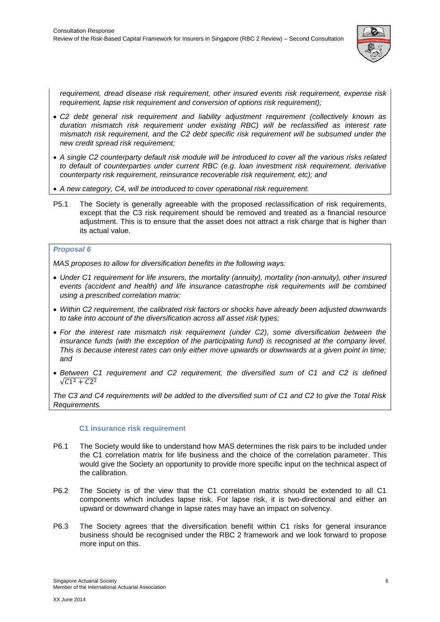

*requirement, dread disease risk requirement, other insured events risk requirement, expense risk requirement, lapse risk requirement and conversion of options risk requirement);* 

- *C2 debt general risk requirement and liability adjustment requirement (collectively known as duration mismatch risk requirement under existing RBC) will be reclassified as interest rate mismatch risk requirement, and the C2 debt specific risk requirement will be subsumed under the new credit spread risk requirement;*
- *A single C2 counterparty default risk module will be introduced to cover all the various risks related to default of counterparties under current RBC (e.g. loan investment risk requirement, derivative counterparty risk requirement, reinsurance recoverable risk requirement, etc); and*
- *A new category, C4, will be introduced to cover operational risk requirement.*
- P5.1 The Society is generally agreeable with the proposed reclassification of risk requirements, except that the C3 risk requirement should be removed and treated as a financial resource adjustment. This is to ensure that the asset does not attract a risk charge that is higher than its actual value.

# <span id="page-10-0"></span>*Proposal 6*

*MAS proposes to allow for diversification benefits in the following ways:*

- *Under C1 requirement for life insurers, the mortality (annuity), mortality (non-annuity), other insured events (accident and health) and life insurance catastrophe risk requirements will be combined using a prescribed correlation matrix:*
- *Within C2 requirement, the calibrated risk factors or shocks have already been adjusted downwards to take into account of the diversification across all asset risk types;*
- *For the interest rate mismatch risk requirement (under C2), some diversification between the insurance funds (with the exception of the participating fund) is recognised at the company level. This is because interest rates can only either move upwards or downwards at a given point in time; and*
- *Between C1 requirement and C2 requirement, the diversified sum of C1 and C2 is defined*   $\sqrt{C1^2+C2^2}$

*The C3 and C4 requirements will be added to the diversified sum of C1 and C2 to give the Total Risk Requirements.*

# **C1 insurance risk requirement**

- P6.1 The Society would like to understand how MAS determines the risk pairs to be included under the C1 correlation matrix for life business and the choice of the correlation parameter. This would give the Society an opportunity to provide more specific input on the technical aspect of the calibration.
- P6.2 The Society is of the view that the C1 correlation matrix should be extended to all C1 components which includes lapse risk. For lapse risk, it is two-directional and either an upward or downward change in lapse rates may have an impact on solvency.
- P6.3 The Society agrees that the diversification benefit within C1 risks for general insurance business should be recognised under the RBC 2 framework and we look forward to propose more input on this.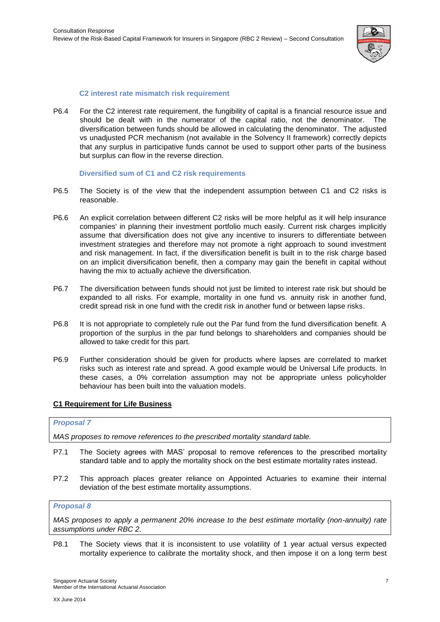

# **C2 interest rate mismatch risk requirement**

P6.4 For the C2 interest rate requirement, the fungibility of capital is a financial resource issue and should be dealt with in the numerator of the capital ratio, not the denominator. The diversification between funds should be allowed in calculating the denominator. The adjusted vs unadjusted PCR mechanism (not available in the Solvency II framework) correctly depicts that any surplus in participative funds cannot be used to support other parts of the business but surplus can flow in the reverse direction.

# **Diversified sum of C1 and C2 risk requirements**

- P6.5 The Society is of the view that the independent assumption between C1 and C2 risks is reasonable.
- P6.6 An explicit correlation between different C2 risks will be more helpful as it will help insurance companies' in planning their investment portfolio much easily. Current risk charges implicitly assume that diversification does not give any incentive to insurers to differentiate between investment strategies and therefore may not promote a right approach to sound investment and risk management. In fact, if the diversification benefit is built in to the risk charge based on an implicit diversification benefit, then a company may gain the benefit in capital without having the mix to actually achieve the diversification.
- P6.7 The diversification between funds should not just be limited to interest rate risk but should be expanded to all risks. For example, mortality in one fund vs. annuity risk in another fund, credit spread risk in one fund with the credit risk in another fund or between lapse risks.
- P6.8 It is not appropriate to completely rule out the Par fund from the fund diversification benefit. A proportion of the surplus in the par fund belongs to shareholders and companies should be allowed to take credit for this part.
- P6.9 Further consideration should be given for products where lapses are correlated to market risks such as interest rate and spread. A good example would be Universal Life products. In these cases, a 0% correlation assumption may not be appropriate unless policyholder behaviour has been built into the valuation models.

# <span id="page-11-0"></span>**C1 Requirement for Life Business**

# <span id="page-11-1"></span>*Proposal 7*

*MAS proposes to remove references to the prescribed mortality standard table.*

- P7.1 The Society agrees with MAS' proposal to remove references to the prescribed mortality standard table and to apply the mortality shock on the best estimate mortality rates instead.
- P7.2 This approach places greater reliance on Appointed Actuaries to examine their internal deviation of the best estimate mortality assumptions.

# <span id="page-11-2"></span>*Proposal 8*

*MAS proposes to apply a permanent 20% increase to the best estimate mortality (non-annuity) rate assumptions under RBC 2.*

P8.1 The Society views that it is inconsistent to use volatility of 1 year actual versus expected mortality experience to calibrate the mortality shock, and then impose it on a long term best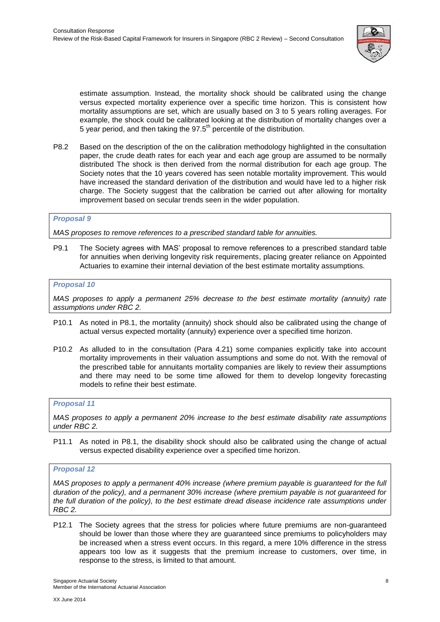

estimate assumption. Instead, the mortality shock should be calibrated using the change versus expected mortality experience over a specific time horizon. This is consistent how mortality assumptions are set, which are usually based on 3 to 5 years rolling averages. For example, the shock could be calibrated looking at the distribution of mortality changes over a 5 year period, and then taking the  $97.5<sup>th</sup>$  percentile of the distribution.

P8.2 Based on the description of the on the calibration methodology highlighted in the consultation paper, the crude death rates for each year and each age group are assumed to be normally distributed The shock is then derived from the normal distribution for each age group. The Society notes that the 10 years covered has seen notable mortality improvement. This would have increased the standard derivation of the distribution and would have led to a higher risk charge. The Society suggest that the calibration be carried out after allowing for mortality improvement based on secular trends seen in the wider population.

# <span id="page-12-0"></span>*Proposal 9*

*MAS proposes to remove references to a prescribed standard table for annuities.*

P9.1 The Society agrees with MAS' proposal to remove references to a prescribed standard table for annuities when deriving longevity risk requirements, placing greater reliance on Appointed Actuaries to examine their internal deviation of the best estimate mortality assumptions.

# <span id="page-12-1"></span>*Proposal 10*

*MAS proposes to apply a permanent 25% decrease to the best estimate mortality (annuity) rate assumptions under RBC 2.*

- P10.1 As noted in P8.1, the mortality (annuity) shock should also be calibrated using the change of actual versus expected mortality (annuity) experience over a specified time horizon.
- P10.2 As alluded to in the consultation (Para 4.21) some companies explicitly take into account mortality improvements in their valuation assumptions and some do not. With the removal of the prescribed table for annuitants mortality companies are likely to review their assumptions and there may need to be some time allowed for them to develop longevity forecasting models to refine their best estimate.

# <span id="page-12-2"></span>*Proposal 11*

*MAS proposes to apply a permanent 20% increase to the best estimate disability rate assumptions under RBC 2.*

P11.1 As noted in P8.1, the disability shock should also be calibrated using the change of actual versus expected disability experience over a specified time horizon.

# <span id="page-12-3"></span>*Proposal 12*

*MAS proposes to apply a permanent 40% increase (where premium payable is guaranteed for the full duration of the policy), and a permanent 30% increase (where premium payable is not guaranteed for the full duration of the policy), to the best estimate dread disease incidence rate assumptions under RBC 2.*

P12.1 The Society agrees that the stress for policies where future premiums are non-guaranteed should be lower than those where they are guaranteed since premiums to policyholders may be increased when a stress event occurs. In this regard, a mere 10% difference in the stress appears too low as it suggests that the premium increase to customers, over time, in response to the stress, is limited to that amount.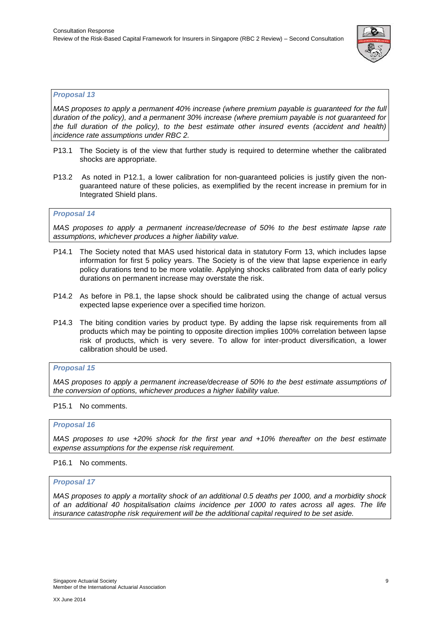

# <span id="page-13-0"></span>*Proposal 13*

*MAS proposes to apply a permanent 40% increase (where premium payable is guaranteed for the full duration of the policy), and a permanent 30% increase (where premium payable is not guaranteed for the full duration of the policy), to the best estimate other insured events (accident and health) incidence rate assumptions under RBC 2.*

- P13.1 The Society is of the view that further study is required to determine whether the calibrated shocks are appropriate.
- P13.2 As noted in P12.1, a lower calibration for non-guaranteed policies is justify given the nonguaranteed nature of these policies, as exemplified by the recent increase in premium for in Integrated Shield plans.

# <span id="page-13-1"></span>*Proposal 14*

*MAS proposes to apply a permanent increase/decrease of 50% to the best estimate lapse rate assumptions, whichever produces a higher liability value.*

- P14.1 The Society noted that MAS used historical data in statutory Form 13, which includes lapse information for first 5 policy years. The Society is of the view that lapse experience in early policy durations tend to be more volatile. Applying shocks calibrated from data of early policy durations on permanent increase may overstate the risk.
- P14.2 As before in P8.1, the lapse shock should be calibrated using the change of actual versus expected lapse experience over a specified time horizon.
- P14.3 The biting condition varies by product type. By adding the lapse risk requirements from all products which may be pointing to opposite direction implies 100% correlation between lapse risk of products, which is very severe. To allow for inter-product diversification, a lower calibration should be used.

# <span id="page-13-2"></span>*Proposal 15*

*MAS proposes to apply a permanent increase/decrease of 50% to the best estimate assumptions of the conversion of options, whichever produces a higher liability value.*

# P15.1 No comments.

# <span id="page-13-3"></span>*Proposal 16*

*MAS proposes to use +20% shock for the first year and +10% thereafter on the best estimate expense assumptions for the expense risk requirement.*

# P16.1 No comments.

#### <span id="page-13-4"></span>*Proposal 17*

*MAS proposes to apply a mortality shock of an additional 0.5 deaths per 1000, and a morbidity shock of an additional 40 hospitalisation claims incidence per 1000 to rates across all ages. The life insurance catastrophe risk requirement will be the additional capital required to be set aside.*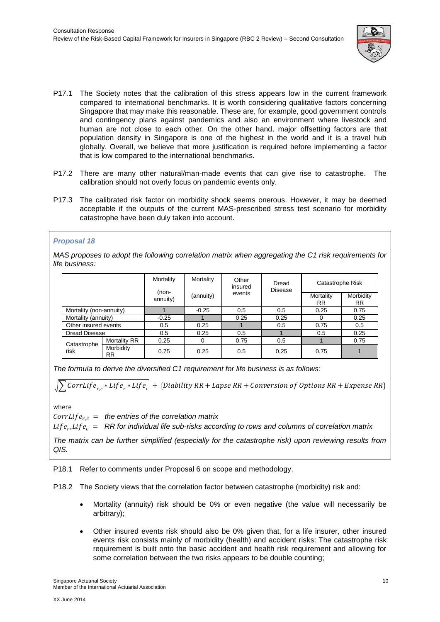

- P17.1 The Society notes that the calibration of this stress appears low in the current framework compared to international benchmarks. It is worth considering qualitative factors concerning Singapore that may make this reasonable. These are, for example, good government controls and contingency plans against pandemics and also an environment where livestock and human are not close to each other. On the other hand, major offsetting factors are that population density in Singapore is one of the highest in the world and it is a travel hub globally. Overall, we believe that more justification is required before implementing a factor that is low compared to the international benchmarks.
- P17.2 There are many other natural/man-made events that can give rise to catastrophe. The calibration should not overly focus on pandemic events only.
- P17.3 The calibrated risk factor on morbidity shock seems onerous. However, it may be deemed acceptable if the outputs of the current MAS-prescribed stress test scenario for morbidity catastrophe have been duly taken into account.

# *Proposal 18*

*MAS proposes to adopt the following correlation matrix when aggregating the C1 risk requirements for life business:*

|                         |                        | Mortality                        | Mortality | Other<br>insured | Dread<br><b>Disease</b> | Catastrophe Risk       |                        |
|-------------------------|------------------------|----------------------------------|-----------|------------------|-------------------------|------------------------|------------------------|
|                         |                        | $(non-$<br>(annuity)<br>annuity) |           | events           |                         | Mortality<br><b>RR</b> | Morbidity<br><b>RR</b> |
| Mortality (non-annuity) |                        |                                  | $-0.25$   | 0.5              | 0.5                     | 0.25                   | 0.75                   |
| Mortality (annuity)     |                        | $-0.25$                          |           | 0.25             | 0.25                    |                        | 0.25                   |
| Other insured events    |                        | 0.5                              | 0.25      |                  | 0.5                     | 0.75                   | 0.5                    |
| Dread Disease           |                        | 0.5                              | 0.25      | 0.5              |                         | 0.5                    | 0.25                   |
| Catastrophe<br>risk     | <b>Mortality RR</b>    | 0.25                             |           | 0.75             | 0.5                     |                        | 0.75                   |
|                         | Morbidity<br><b>RR</b> | 0.75                             | 0.25      | 0.5              | 0.25                    | 0.75                   | 1                      |

*The formula to derive the diversified C1 requirement for life business is as follows:*

$$
\sqrt{\sum \text{CorrLife}_{r,c} * \text{Life}_{r} * \text{Life}_{c}} + \{\text{Diability RR} + \text{Lapse RR} + \text{Conversion of Options RR} + \text{Expense RR}\}
$$

where

 $CorrLife_{r,c}$  = the entries of the correlation matrix

 $Life_r, Life_c = RR$  for individual life sub-risks according to rows and columns of correlation matrix

*The matrix can be further simplified (especially for the catastrophe risk) upon reviewing results from QIS.*

P18.1 Refer to comments under Proposal 6 on scope and methodology.

P18.2 The Society views that the correlation factor between catastrophe (morbidity) risk and:

- Mortality (annuity) risk should be 0% or even negative (the value will necessarily be arbitrary);
- Other insured events risk should also be 0% given that, for a life insurer, other insured events risk consists mainly of morbidity (health) and accident risks: The catastrophe risk requirement is built onto the basic accident and health risk requirement and allowing for some correlation between the two risks appears to be double counting;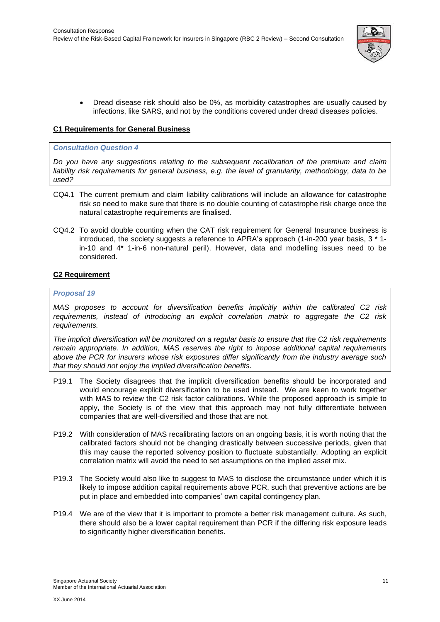

• Dread disease risk should also be 0%, as morbidity catastrophes are usually caused by infections, like SARS, and not by the conditions covered under dread diseases policies.

# <span id="page-15-0"></span>**C1 Requirements for General Business**

#### *Consultation Question 4*

*Do you have any suggestions relating to the subsequent recalibration of the premium and claim liability risk requirements for general business, e.g. the level of granularity, methodology, data to be used?*

- CQ4.1 The current premium and claim liability calibrations will include an allowance for catastrophe risk so need to make sure that there is no double counting of catastrophe risk charge once the natural catastrophe requirements are finalised.
- CQ4.2 To avoid double counting when the CAT risk requirement for General Insurance business is introduced, the society suggests a reference to APRA's approach (1-in-200 year basis, 3 \* 1 in-10 and 4\* 1-in-6 non-natural peril). However, data and modelling issues need to be considered.

# <span id="page-15-1"></span>**C2 Requirement**

# <span id="page-15-2"></span>*Proposal 19*

*MAS proposes to account for diversification benefits implicitly within the calibrated C2 risk requirements, instead of introducing an explicit correlation matrix to aggregate the C2 risk requirements.*

*The implicit diversification will be monitored on a regular basis to ensure that the C2 risk requirements remain appropriate. In addition, MAS reserves the right to impose additional capital requirements above the PCR for insurers whose risk exposures differ significantly from the industry average such that they should not enjoy the implied diversification benefits.*

- P19.1 The Society disagrees that the implicit diversification benefits should be incorporated and would encourage explicit diversification to be used instead. We are keen to work together with MAS to review the C2 risk factor calibrations. While the proposed approach is simple to apply, the Society is of the view that this approach may not fully differentiate between companies that are well-diversified and those that are not.
- P19.2 With consideration of MAS recalibrating factors on an ongoing basis, it is worth noting that the calibrated factors should not be changing drastically between successive periods, given that this may cause the reported solvency position to fluctuate substantially. Adopting an explicit correlation matrix will avoid the need to set assumptions on the implied asset mix.
- P19.3 The Society would also like to suggest to MAS to disclose the circumstance under which it is likely to impose addition capital requirements above PCR, such that preventive actions are be put in place and embedded into companies' own capital contingency plan.
- P19.4 We are of the view that it is important to promote a better risk management culture. As such, there should also be a lower capital requirement than PCR if the differing risk exposure leads to significantly higher diversification benefits.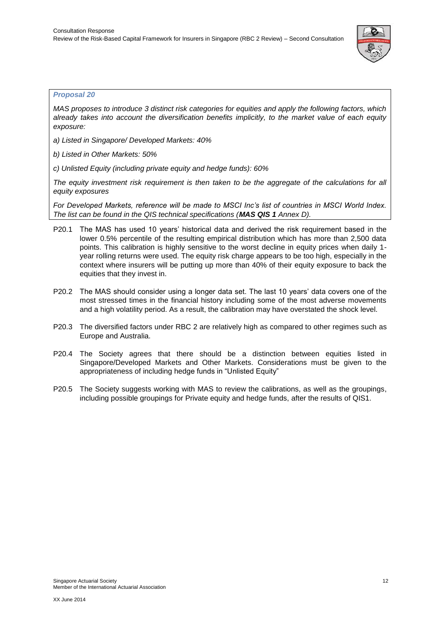

# <span id="page-16-0"></span>*Proposal 20*

*MAS proposes to introduce 3 distinct risk categories for equities and apply the following factors, which already takes into account the diversification benefits implicitly, to the market value of each equity exposure:*

*a) Listed in Singapore/ Developed Markets: 40%*

*b) Listed in Other Markets: 50%*

*c) Unlisted Equity (including private equity and hedge funds): 60%*

*The equity investment risk requirement is then taken to be the aggregate of the calculations for all equity exposures* 

*For Developed Markets, reference will be made to MSCI Inc's list of countries in MSCI World Index. The list can be found in the QIS technical specifications (MAS QIS 1 Annex D).*

- P20.1 The MAS has used 10 years' historical data and derived the risk requirement based in the lower 0.5% percentile of the resulting empirical distribution which has more than 2,500 data points. This calibration is highly sensitive to the worst decline in equity prices when daily 1 year rolling returns were used. The equity risk charge appears to be too high, especially in the context where insurers will be putting up more than 40% of their equity exposure to back the equities that they invest in.
- P20.2 The MAS should consider using a longer data set. The last 10 years' data covers one of the most stressed times in the financial history including some of the most adverse movements and a high volatility period. As a result, the calibration may have overstated the shock level.
- P20.3 The diversified factors under RBC 2 are relatively high as compared to other regimes such as Europe and Australia.
- P20.4 The Society agrees that there should be a distinction between equities listed in Singapore/Developed Markets and Other Markets. Considerations must be given to the appropriateness of including hedge funds in "Unlisted Equity"
- P20.5 The Society suggests working with MAS to review the calibrations, as well as the groupings, including possible groupings for Private equity and hedge funds, after the results of QIS1.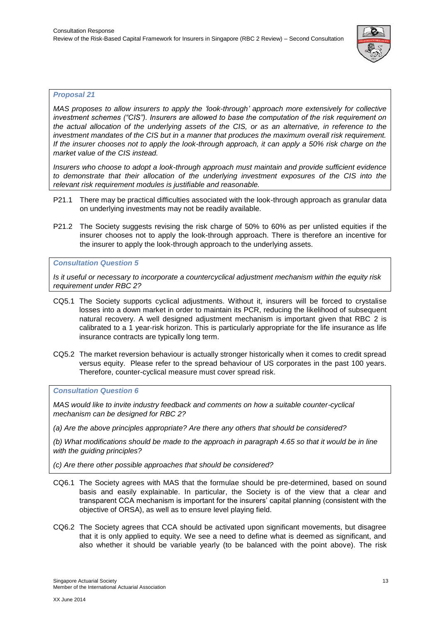

# <span id="page-17-0"></span>*Proposal 21*

*MAS proposes to allow insurers to apply the 'look-through' approach more extensively for collective investment schemes ("CIS"). Insurers are allowed to base the computation of the risk requirement on the actual allocation of the underlying assets of the CIS, or as an alternative, in reference to the investment mandates of the CIS but in a manner that produces the maximum overall risk requirement. If the insurer chooses not to apply the look-through approach, it can apply a 50% risk charge on the market value of the CIS instead.*

*Insurers who choose to adopt a look-through approach must maintain and provide sufficient evidence to demonstrate that their allocation of the underlying investment exposures of the CIS into the relevant risk requirement modules is justifiable and reasonable.* 

- P21.1 There may be practical difficulties associated with the look-through approach as granular data on underlying investments may not be readily available.
- P21.2 The Society suggests revising the risk charge of 50% to 60% as per unlisted equities if the insurer chooses not to apply the look-through approach. There is therefore an incentive for the insurer to apply the look-through approach to the underlying assets.

# *Consultation Question 5*

*Is it useful or necessary to incorporate a countercyclical adjustment mechanism within the equity risk requirement under RBC 2?*

- CQ5.1 The Society supports cyclical adjustments. Without it, insurers will be forced to crystalise losses into a down market in order to maintain its PCR, reducing the likelihood of subsequent natural recovery. A well designed adjustment mechanism is important given that RBC 2 is calibrated to a 1 year-risk horizon. This is particularly appropriate for the life insurance as life insurance contracts are typically long term.
- CQ5.2 The market reversion behaviour is actually stronger historically when it comes to credit spread versus equity. Please refer to the spread behaviour of US corporates in the past 100 years. Therefore, counter-cyclical measure must cover spread risk.

*Consultation Question 6*

*MAS would like to invite industry feedback and comments on how a suitable counter-cyclical mechanism can be designed for RBC 2?*

*(a) Are the above principles appropriate? Are there any others that should be considered?*

*(b) What modifications should be made to the approach in paragraph 4.65 so that it would be in line with the guiding principles?*

*(c) Are there other possible approaches that should be considered?*

- CQ6.1 The Society agrees with MAS that the formulae should be pre-determined, based on sound basis and easily explainable. In particular, the Society is of the view that a clear and transparent CCA mechanism is important for the insurers' capital planning (consistent with the objective of ORSA), as well as to ensure level playing field.
- CQ6.2 The Society agrees that CCA should be activated upon significant movements, but disagree that it is only applied to equity. We see a need to define what is deemed as significant, and also whether it should be variable yearly (to be balanced with the point above). The risk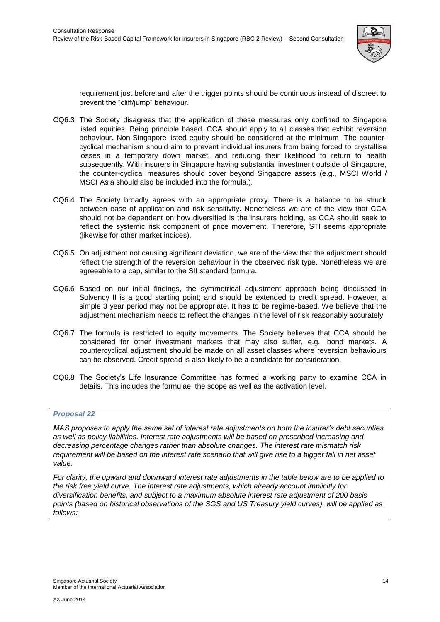

requirement just before and after the trigger points should be continuous instead of discreet to prevent the "cliff/jump" behaviour.

- CQ6.3 The Society disagrees that the application of these measures only confined to Singapore listed equities. Being principle based, CCA should apply to all classes that exhibit reversion behaviour. Non-Singapore listed equity should be considered at the minimum. The countercyclical mechanism should aim to prevent individual insurers from being forced to crystallise losses in a temporary down market, and reducing their likelihood to return to health subsequently. With insurers in Singapore having substantial investment outside of Singapore, the counter-cyclical measures should cover beyond Singapore assets (e.g., MSCI World / MSCI Asia should also be included into the formula.).
- CQ6.4 The Society broadly agrees with an appropriate proxy. There is a balance to be struck between ease of application and risk sensitivity. Nonetheless we are of the view that CCA should not be dependent on how diversified is the insurers holding, as CCA should seek to reflect the systemic risk component of price movement. Therefore, STI seems appropriate (likewise for other market indices).
- CQ6.5 On adjustment not causing significant deviation, we are of the view that the adjustment should reflect the strength of the reversion behaviour in the observed risk type. Nonetheless we are agreeable to a cap, similar to the SII standard formula.
- CQ6.6 Based on our initial findings, the symmetrical adjustment approach being discussed in Solvency II is a good starting point; and should be extended to credit spread. However, a simple 3 year period may not be appropriate. It has to be regime-based. We believe that the adjustment mechanism needs to reflect the changes in the level of risk reasonably accurately.
- CQ6.7 The formula is restricted to equity movements. The Society believes that CCA should be considered for other investment markets that may also suffer, e.g., bond markets. A countercyclical adjustment should be made on all asset classes where reversion behaviours can be observed. Credit spread is also likely to be a candidate for consideration.
- CQ6.8 The Society's Life Insurance Committee has formed a working party to examine CCA in details. This includes the formulae, the scope as well as the activation level.

# <span id="page-18-0"></span>*Proposal 22*

*MAS proposes to apply the same set of interest rate adjustments on both the insurer's debt securities as well as policy liabilities. Interest rate adjustments will be based on prescribed increasing and decreasing percentage changes rather than absolute changes. The interest rate mismatch risk requirement will be based on the interest rate scenario that will give rise to a bigger fall in net asset value.*

*For clarity, the upward and downward interest rate adjustments in the table below are to be applied to the risk free yield curve. The interest rate adjustments, which already account implicitly for diversification benefits, and subject to a maximum absolute interest rate adjustment of 200 basis points (based on historical observations of the SGS and US Treasury yield curves), will be applied as follows:*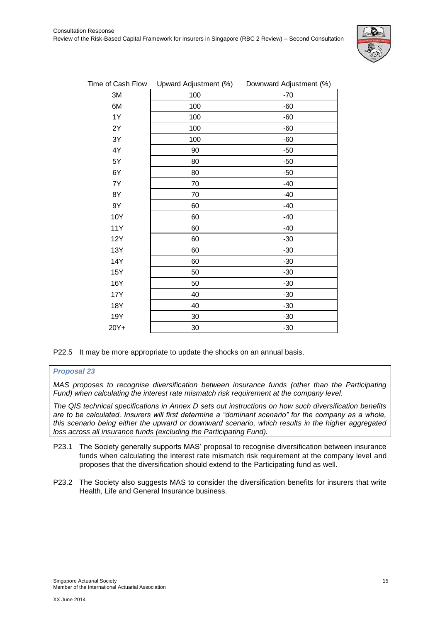

| Time of Cash Flow          | Upward Adjustment (%) | Downward Adjustment (%) |
|----------------------------|-----------------------|-------------------------|
| 3M                         | 100                   | $-70$                   |
| 6M                         | 100                   | $-60$                   |
| 1Y                         | 100                   | $-60$                   |
| 2Y                         | 100                   | $-60$                   |
| 3Y                         | 100                   | $-60$                   |
| 4Y                         | 90                    | $-50$                   |
| 5Y                         | 80                    | $-50$                   |
| 6Y                         | 80                    | $-50$                   |
| $7\ensuremath{\mathsf{Y}}$ | 70                    | $-40$                   |
| 8Y                         | 70                    | $-40$                   |
| 9Y                         | 60                    | $-40$                   |
| 10Y                        | 60                    | $-40$                   |
| <b>11Y</b>                 | 60                    | $-40$                   |
| <b>12Y</b>                 | 60                    | $-30$                   |
| 13Y                        | 60                    | $-30$                   |
| 14Y                        | 60                    | $-30$                   |
| 15Y                        | 50                    | $-30$                   |
| 16Y                        | 50                    | $-30$                   |
| 17Y                        | 40                    | $-30$                   |
| 18Y                        | 40                    | $-30$                   |
| 19Y                        | 30                    | $-30$                   |
| 20Y+                       | 30                    | $-30$                   |

P22.5 It may be more appropriate to update the shocks on an annual basis.

# <span id="page-19-0"></span>*Proposal 23*

*MAS proposes to recognise diversification between insurance funds (other than the Participating Fund) when calculating the interest rate mismatch risk requirement at the company level.* 

*The QIS technical specifications in Annex D sets out instructions on how such diversification benefits are to be calculated. Insurers will first determine a "dominant scenario" for the company as a whole, this scenario being either the upward or downward scenario, which results in the higher aggregated loss across all insurance funds (excluding the Participating Fund).*

- P23.1 The Society generally supports MAS' proposal to recognise diversification between insurance funds when calculating the interest rate mismatch risk requirement at the company level and proposes that the diversification should extend to the Participating fund as well.
- P23.2 The Society also suggests MAS to consider the diversification benefits for insurers that write Health, Life and General Insurance business.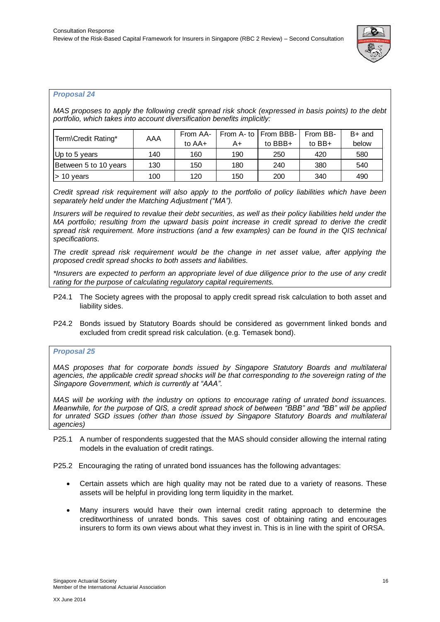

# <span id="page-20-0"></span>*Proposal 24*

*MAS proposes to apply the following credit spread risk shock (expressed in basis points) to the debt portfolio, which takes into account diversification benefits implicitly:*

| Term\Credit Rating*            | AAA | From AA- |     | From A- to   From BBB- | From BB- | $B+$ and |
|--------------------------------|-----|----------|-----|------------------------|----------|----------|
|                                |     | to AA+   | A+  | to BBB+                | to $BB+$ | below    |
| Up to 5 years                  | 140 | 160      | 190 | 250                    | 420      | 580      |
| Between 5 to 10 years          | 130 | 150      | 180 | 240                    | 380      | 540      |
| $\blacktriangleright$ 10 vears | 100 | 120      | 150 | 200                    | 340      | 490      |

*Credit spread risk requirement will also apply to the portfolio of policy liabilities which have been separately held under the Matching Adjustment ("MA").* 

*Insurers will be required to revalue their debt securities, as well as their policy liabilities held under the MA portfolio; resulting from the upward basis point increase in credit spread to derive the credit spread risk requirement. More instructions (and a few examples) can be found in the QIS technical specifications.* 

*The credit spread risk requirement would be the change in net asset value, after applying the proposed credit spread shocks to both assets and liabilities.* 

*\*Insurers are expected to perform an appropriate level of due diligence prior to the use of any credit rating for the purpose of calculating regulatory capital requirements.*

- P24.1 The Society agrees with the proposal to apply credit spread risk calculation to both asset and liability sides.
- P24.2 Bonds issued by Statutory Boards should be considered as government linked bonds and excluded from credit spread risk calculation. (e.g. Temasek bond).

# <span id="page-20-1"></span>*Proposal 25*

*MAS proposes that for corporate bonds issued by Singapore Statutory Boards and multilateral agencies, the applicable credit spread shocks will be that corresponding to the sovereign rating of the Singapore Government, which is currently at "AAA".*

*MAS will be working with the industry on options to encourage rating of unrated bond issuances. Meanwhile, for the purpose of QIS, a credit spread shock of between "BBB" and "BB" will be applied*  for unrated SGD issues (other than those issued by Singapore Statutory Boards and multilateral *agencies)*

P25.1 A number of respondents suggested that the MAS should consider allowing the internal rating models in the evaluation of credit ratings.

P25.2 Encouraging the rating of unrated bond issuances has the following advantages:

- Certain assets which are high quality may not be rated due to a variety of reasons. These assets will be helpful in providing long term liquidity in the market.
- Many insurers would have their own internal credit rating approach to determine the creditworthiness of unrated bonds. This saves cost of obtaining rating and encourages insurers to form its own views about what they invest in. This is in line with the spirit of ORSA.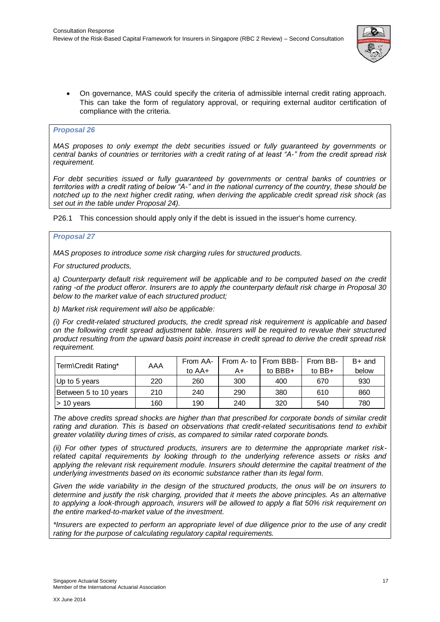

 On governance, MAS could specify the criteria of admissible internal credit rating approach. This can take the form of regulatory approval, or requiring external auditor certification of compliance with the criteria.

# <span id="page-21-0"></span>*Proposal 26*

*MAS proposes to only exempt the debt securities issued or fully guaranteed by governments or central banks of countries or territories with a credit rating of at least "A-" from the credit spread risk requirement.*

*For debt securities issued or fully guaranteed by governments or central banks of countries or territories with a credit rating of below "A-" and in the national currency of the country, these should be notched up to the next higher credit rating, when deriving the applicable credit spread risk shock (as set out in the table under Proposal 24).*

P26.1 This concession should apply only if the debt is issued in the issuer's home currency.

# <span id="page-21-1"></span>*Proposal 27*

*MAS proposes to introduce some risk charging rules for structured products.* 

*For structured products,* 

a) Counterparty default risk requirement will be applicable and to be computed based on the credit *rating -of the product offeror. Insurers are to apply the counterparty default risk charge in Proposal 30 below to the market value of each structured product;* 

*b) Market risk requirement will also be applicable:* 

*(i) For credit-related structured products, the credit spread risk requirement is applicable and based on the following credit spread adjustment table. Insurers will be required to revalue their structured product resulting from the upward basis point increase in credit spread to derive the credit spread risk requirement.* 

| Term\Credit Rating*   | AAA | From AA- |     | From A- to I From BBB- | From BB- | $B+$ and |
|-----------------------|-----|----------|-----|------------------------|----------|----------|
|                       |     | to AA+   | A+  | to $BBB+$              | to $BB+$ | below    |
| Up to 5 years         | 220 | 260      | 300 | 400                    | 670      | 930      |
| Between 5 to 10 years | 210 | 240      | 290 | 380                    | 610      | 860      |
| l> 10 vears           | 160 | 190      | 240 | 320                    | 540      | 780      |

*The above credits spread shocks are higher than that prescribed for corporate bonds of similar credit rating and duration. This is based on observations that credit-related securitisations tend to exhibit greater volatility during times of crisis, as compared to similar rated corporate bonds.* 

*(ii) For other types of structured products, insurers are to determine the appropriate market riskrelated capital requirements by looking through to the underlying reference assets or risks and applying the relevant risk requirement module. Insurers should determine the capital treatment of the underlying investments based on its economic substance rather than its legal form.* 

*Given the wide variability in the design of the structured products, the onus will be on insurers to determine and justify the risk charging, provided that it meets the above principles. As an alternative to applying a look-through approach, insurers will be allowed to apply a flat 50% risk requirement on the entire marked-to-market value of the investment.* 

*\*Insurers are expected to perform an appropriate level of due diligence prior to the use of any credit rating for the purpose of calculating regulatory capital requirements.*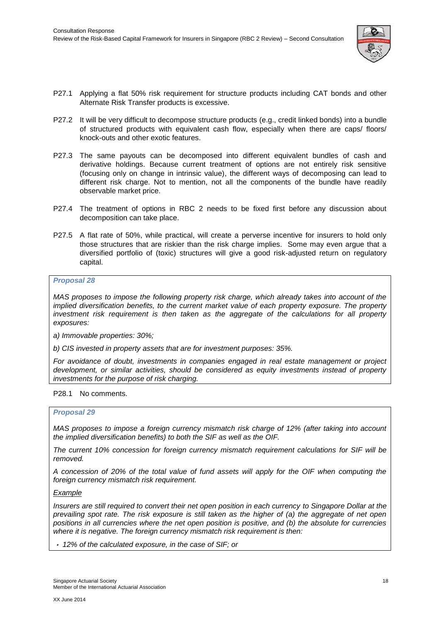

- P27.1 Applying a flat 50% risk requirement for structure products including CAT bonds and other Alternate Risk Transfer products is excessive.
- P27.2 It will be very difficult to decompose structure products (e.g., credit linked bonds) into a bundle of structured products with equivalent cash flow, especially when there are caps/ floors/ knock-outs and other exotic features.
- P27.3 The same payouts can be decomposed into different equivalent bundles of cash and derivative holdings. Because current treatment of options are not entirely risk sensitive (focusing only on change in intrinsic value), the different ways of decomposing can lead to different risk charge. Not to mention, not all the components of the bundle have readily observable market price.
- P27.4 The treatment of options in RBC 2 needs to be fixed first before any discussion about decomposition can take place.
- P27.5 A flat rate of 50%, while practical, will create a perverse incentive for insurers to hold only those structures that are riskier than the risk charge implies. Some may even argue that a diversified portfolio of (toxic) structures will give a good risk-adjusted return on regulatory capital.

# <span id="page-22-0"></span>*Proposal 28*

*MAS proposes to impose the following property risk charge, which already takes into account of the implied diversification benefits, to the current market value of each property exposure. The property investment risk requirement is then taken as the aggregate of the calculations for all property exposures:* 

*a) Immovable properties: 30%;* 

*b) CIS invested in property assets that are for investment purposes: 35%.*

*For avoidance of doubt, investments in companies engaged in real estate management or project development, or similar activities, should be considered as equity investments instead of property investments for the purpose of risk charging.*

# P28.1 No comments.

# <span id="page-22-1"></span>*Proposal 29*

*MAS proposes to impose a foreign currency mismatch risk charge of 12% (after taking into account the implied diversification benefits) to both the SIF as well as the OIF.* 

*The current 10% concession for foreign currency mismatch requirement calculations for SIF will be removed.* 

*A concession of 20% of the total value of fund assets will apply for the OIF when computing the foreign currency mismatch risk requirement.* 

# *Example*

*Insurers are still required to convert their net open position in each currency to Singapore Dollar at the prevailing spot rate. The risk exposure is still taken as the higher of (a) the aggregate of net open positions in all currencies where the net open position is positive, and (b) the absolute for currencies where it is negative. The foreign currency mismatch risk requirement is then:* 

*12% of the calculated exposure, in the case of SIF; or*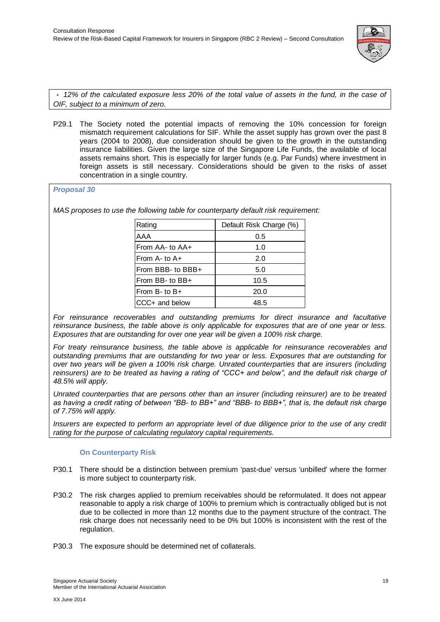

*12% of the calculated exposure less 20% of the total value of assets in the fund, in the case of OIF, subject to a minimum of zero.*

P29.1 The Society noted the potential impacts of removing the 10% concession for foreign mismatch requirement calculations for SIF. While the asset supply has grown over the past 8 years (2004 to 2008), due consideration should be given to the growth in the outstanding insurance liabilities. Given the large size of the Singapore Life Funds, the available of local assets remains short. This is especially for larger funds (e.g. Par Funds) where investment in foreign assets is still necessary. Considerations should be given to the risks of asset concentration in a single country.

# <span id="page-23-0"></span>*Proposal 30*

*MAS proposes to use the following table for counterparty default risk requirement:* 

| Rating             | Default Risk Charge (%) |
|--------------------|-------------------------|
| AAA                | 0.5                     |
| From AA- to AA+    | 1.0                     |
| From $A - t_0 A +$ | 2.0                     |
| From BBB- to BBB+  | 5.0                     |
| From BB- to $BB+$  | 10.5                    |
| From B- to B+      | 20.0                    |
| CCC+ and below     | 48.5                    |

*For reinsurance recoverables and outstanding premiums for direct insurance and facultative reinsurance business, the table above is only applicable for exposures that are of one year or less. Exposures that are outstanding for over one year will be given a 100% risk charge.* 

*For treaty reinsurance business, the table above is applicable for reinsurance recoverables and outstanding premiums that are outstanding for two year or less. Exposures that are outstanding for over two years will be given a 100% risk charge. Unrated counterparties that are insurers (including reinsurers) are to be treated as having a rating of "CCC+ and below", and the default risk charge of 48.5% will apply.* 

*Unrated counterparties that are persons other than an insurer (including reinsurer) are to be treated as having a credit rating of between "BB- to BB+" and "BBB- to BBB+", that is, the default risk charge of 7.75% will apply.* 

*Insurers are expected to perform an appropriate level of due diligence prior to the use of any credit rating for the purpose of calculating regulatory capital requirements.*

# **On Counterparty Risk**

- P30.1 There should be a distinction between premium 'past-due' versus 'unbilled' where the former is more subject to counterparty risk.
- P30.2 The risk charges applied to premium receivables should be reformulated. It does not appear reasonable to apply a risk charge of 100% to premium which is contractually obliged but is not due to be collected in more than 12 months due to the payment structure of the contract. The risk charge does not necessarily need to be 0% but 100% is inconsistent with the rest of the regulation.
- P30.3 The exposure should be determined net of collaterals.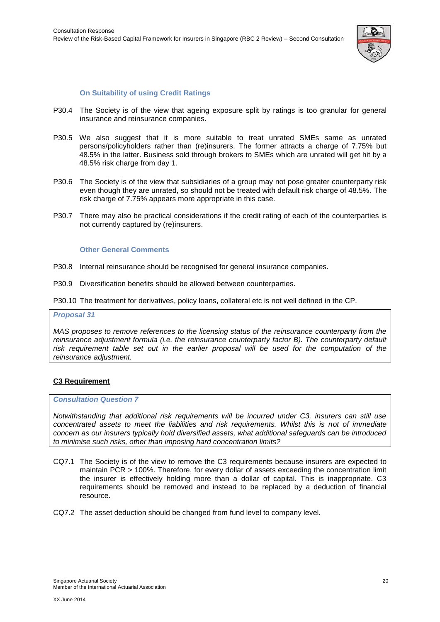

# **On Suitability of using Credit Ratings**

- P30.4 The Society is of the view that ageing exposure split by ratings is too granular for general insurance and reinsurance companies.
- P30.5 We also suggest that it is more suitable to treat unrated SMEs same as unrated persons/policyholders rather than (re)insurers. The former attracts a charge of 7.75% but 48.5% in the latter. Business sold through brokers to SMEs which are unrated will get hit by a 48.5% risk charge from day 1.
- P30.6 The Society is of the view that subsidiaries of a group may not pose greater counterparty risk even though they are unrated, so should not be treated with default risk charge of 48.5%. The risk charge of 7.75% appears more appropriate in this case.
- P30.7 There may also be practical considerations if the credit rating of each of the counterparties is not currently captured by (re)insurers.

#### **Other General Comments**

- P30.8 Internal reinsurance should be recognised for general insurance companies.
- P30.9 Diversification benefits should be allowed between counterparties.

P30.10 The treatment for derivatives, policy loans, collateral etc is not well defined in the CP.

#### <span id="page-24-0"></span>*Proposal 31*

*MAS proposes to remove references to the licensing status of the reinsurance counterparty from the reinsurance adjustment formula (i.e. the reinsurance counterparty factor B). The counterparty default risk requirement table set out in the earlier proposal will be used for the computation of the reinsurance adjustment.*

# <span id="page-24-1"></span>**C3 Requirement**

#### *Consultation Question 7*

*Notwithstanding that additional risk requirements will be incurred under C3, insurers can still use concentrated assets to meet the liabilities and risk requirements. Whilst this is not of immediate concern as our insurers typically hold diversified assets, what additional safeguards can be introduced to minimise such risks, other than imposing hard concentration limits?*

- CQ7.1 The Society is of the view to remove the C3 requirements because insurers are expected to maintain PCR > 100%. Therefore, for every dollar of assets exceeding the concentration limit the insurer is effectively holding more than a dollar of capital. This is inappropriate. C3 requirements should be removed and instead to be replaced by a deduction of financial resource.
- CQ7.2 The asset deduction should be changed from fund level to company level.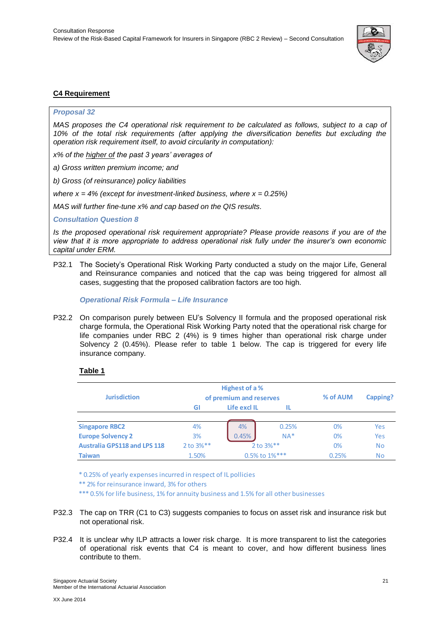

# <span id="page-25-0"></span>**C4 Requirement**

# <span id="page-25-1"></span>*Proposal 32*

*MAS proposes the C4 operational risk requirement to be calculated as follows, subject to a cap of 10% of the total risk requirements (after applying the diversification benefits but excluding the operation risk requirement itself, to avoid circularity in computation):* 

*x% of the higher of the past 3 years' averages of* 

*a) Gross written premium income; and* 

*b) Gross (of reinsurance) policy liabilities*

*where x = 4% (except for investment-linked business, where x = 0.25%)* 

*MAS will further fine-tune x% and cap based on the QIS results.*

*Consultation Question 8*

*Is the proposed operational risk requirement appropriate? Please provide reasons if you are of the view that it is more appropriate to address operational risk fully under the insurer's own economic capital under ERM.*

P32.1 The Society's Operational Risk Working Party conducted a study on the major Life, General and Reinsurance companies and noticed that the cap was being triggered for almost all cases, suggesting that the proposed calibration factors are too high.

*Operational Risk Formula – Life Insurance*

P32.2 On comparison purely between EU's Solvency II formula and the proposed operational risk charge formula, the Operational Risk Working Party noted that the operational risk charge for life companies under RBC 2 (4%) is 9 times higher than operational risk charge under Solvency 2 (0.45%). Please refer to table 1 below. The cap is triggered for every life insurance company.

# **Table 1**

| .                                   |                |                         |          |          |           |
|-------------------------------------|----------------|-------------------------|----------|----------|-----------|
|                                     |                | Highest of a %          |          |          |           |
| <b>Jurisdiction</b>                 |                | of premium and reserves | % of AUM | Capping? |           |
|                                     | GI             | Life excl IL<br>IL      |          |          |           |
|                                     |                |                         |          |          |           |
| <b>Singapore RBC2</b>               | 4%             | 4%                      | 0.25%    | 0%       | Yes       |
| <b>Europe Solvency 2</b>            | 3%             | 0.45%                   | $NA*$    | 0%       | Yes       |
| <b>Australia GPS118 and LPS 118</b> | $2$ to $3\%**$ | 2 to 3%**               |          | 0%       | <b>No</b> |
| <b>Taiwan</b>                       | 1.50%          | 0.5% to 1%***           |          | 0.25%    | <b>No</b> |

\* 0.25% of yearly expenses incurred in respect of IL pollicies

\*\* 2% for reinsurance inward, 3% for others

\*\*\* 0.5% for life business, 1% for annuity business and 1.5% for all other businesses

- P32.3 The cap on TRR (C1 to C3) suggests companies to focus on asset risk and insurance risk but not operational risk.
- P32.4 It is unclear why ILP attracts a lower risk charge. It is more transparent to list the categories of operational risk events that C4 is meant to cover, and how different business lines contribute to them.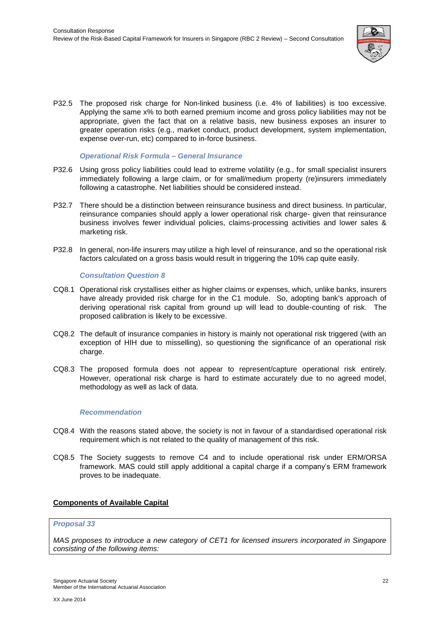

P32.5 The proposed risk charge for Non-linked business (i.e. 4% of liabilities) is too excessive. Applying the same x% to both earned premium income and gross policy liabilities may not be appropriate, given the fact that on a relative basis, new business exposes an insurer to greater operation risks (e.g., market conduct, product development, system implementation, expense over-run, etc) compared to in-force business.

# *Operational Risk Formula – General Insurance*

- P32.6 Using gross policy liabilities could lead to extreme volatility (e.g., for small specialist insurers immediately following a large claim, or for small/medium property (re)insurers immediately following a catastrophe. Net liabilities should be considered instead.
- P32.7 There should be a distinction between reinsurance business and direct business. In particular, reinsurance companies should apply a lower operational risk charge- given that reinsurance business involves fewer individual policies, claims-processing activities and lower sales & marketing risk.
- P32.8 In general, non-life insurers may utilize a high level of reinsurance, and so the operational risk factors calculated on a gross basis would result in triggering the 10% cap quite easily.

# *Consultation Question 8*

- CQ8.1 Operational risk crystallises either as higher claims or expenses, which, unlike banks, insurers have already provided risk charge for in the C1 module. So, adopting bank's approach of deriving operational risk capital from ground up will lead to double-counting of risk. The proposed calibration is likely to be excessive.
- CQ8.2 The default of insurance companies in history is mainly not operational risk triggered (with an exception of HIH due to misselling), so questioning the significance of an operational risk charge.
- CQ8.3 The proposed formula does not appear to represent/capture operational risk entirely. However, operational risk charge is hard to estimate accurately due to no agreed model, methodology as well as lack of data.

# *Recommendation*

- CQ8.4 With the reasons stated above, the society is not in favour of a standardised operational risk requirement which is not related to the quality of management of this risk.
- CQ8.5 The Society suggests to remove C4 and to include operational risk under ERM/ORSA framework. MAS could still apply additional a capital charge if a company's ERM framework proves to be inadequate.

# **Components of Available Capital**

# <span id="page-26-0"></span>*Proposal 33*

*MAS proposes to introduce a new category of CET1 for licensed insurers incorporated in Singapore consisting of the following items:*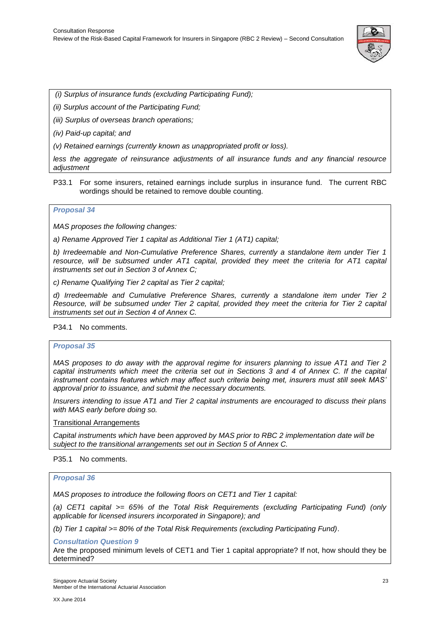

*(i) Surplus of insurance funds (excluding Participating Fund);* 

*(ii) Surplus account of the Participating Fund;* 

*(iii) Surplus of overseas branch operations;* 

*(iv) Paid-up capital; and* 

*(v) Retained earnings (currently known as unappropriated profit or loss).* 

*less the aggregate of reinsurance adjustments of all insurance funds and any financial resource adjustment*

P33.1 For some insurers, retained earnings include surplus in insurance fund. The current RBC wordings should be retained to remove double counting.

#### *Proposal 34*

*MAS proposes the following changes:* 

*a) Rename Approved Tier 1 capital as Additional Tier 1 (AT1) capital;* 

*b) Irredeemable and Non-Cumulative Preference Shares, currently a standalone item under Tier 1 resource, will be subsumed under AT1 capital, provided they meet the criteria for AT1 capital instruments set out in Section 3 of Annex C;* 

*c) Rename Qualifying Tier 2 capital as Tier 2 capital;*

*d) Irredeemable and Cumulative Preference Shares, currently a standalone item under Tier 2 Resource, will be subsumed under Tier 2 capital, provided they meet the criteria for Tier 2 capital instruments set out in Section 4 of Annex C.*

# P34.1 No comments.

# <span id="page-27-0"></span>*Proposal 35*

*MAS proposes to do away with the approval regime for insurers planning to issue AT1 and Tier 2 capital instruments which meet the criteria set out in Sections 3 and 4 of Annex C. If the capital instrument contains features which may affect such criteria being met, insurers must still seek MAS' approval prior to issuance, and submit the necessary documents.* 

*Insurers intending to issue AT1 and Tier 2 capital instruments are encouraged to discuss their plans with MAS early before doing so.* 

Transitional Arrangements

*Capital instruments which have been approved by MAS prior to RBC 2 implementation date will be subject to the transitional arrangements set out in Section 5 of Annex C.*

P35.1 No comments.

# <span id="page-27-1"></span>*Proposal 36*

*MAS proposes to introduce the following floors on CET1 and Tier 1 capital:* 

*(a) CET1 capital >= 65% of the Total Risk Requirements (excluding Participating Fund) (only applicable for licensed insurers incorporated in Singapore); and* 

*(b) Tier 1 capital >= 80% of the Total Risk Requirements (excluding Participating Fund)*.

# *Consultation Question 9*

Are the proposed minimum levels of CET1 and Tier 1 capital appropriate? If not, how should they be determined?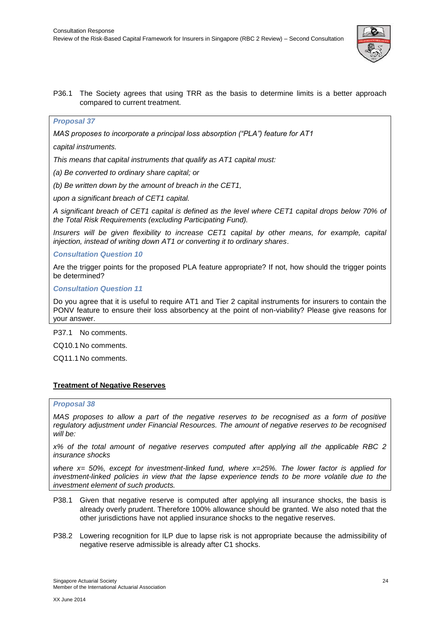

# P36.1 The Society agrees that using TRR as the basis to determine limits is a better approach compared to current treatment.

# <span id="page-28-0"></span>*Proposal 37*

*MAS proposes to incorporate a principal loss absorption ("PLA") feature for AT1* 

*capital instruments.* 

*This means that capital instruments that qualify as AT1 capital must:* 

*(a) Be converted to ordinary share capital; or* 

*(b) Be written down by the amount of breach in the CET1,* 

*upon a significant breach of CET1 capital.* 

*A significant breach of CET1 capital is defined as the level where CET1 capital drops below 70% of the Total Risk Requirements (excluding Participating Fund).* 

*Insurers will be given flexibility to increase CET1 capital by other means, for example, capital injection, instead of writing down AT1 or converting it to ordinary shares*.

*Consultation Question 10*

Are the trigger points for the proposed PLA feature appropriate? If not, how should the trigger points be determined?

*Consultation Question 11*

Do you agree that it is useful to require AT1 and Tier 2 capital instruments for insurers to contain the PONV feature to ensure their loss absorbency at the point of non-viability? Please give reasons for your answer.

P37.1 No comments.

CQ10.1 No comments.

CQ11.1 No comments.

# <span id="page-28-1"></span>**Treatment of Negative Reserves**

# <span id="page-28-2"></span>*Proposal 38*

*MAS proposes to allow a part of the negative reserves to be recognised as a form of positive regulatory adjustment under Financial Resources. The amount of negative reserves to be recognised will be:* 

*x% of the total amount of negative reserves computed after applying all the applicable RBC 2 insurance shocks* 

*where x= 50%, except for investment-linked fund, where x=25%. The lower factor is applied for investment-linked policies in view that the lapse experience tends to be more volatile due to the investment element of such products.*

- P38.1 Given that negative reserve is computed after applying all insurance shocks, the basis is already overly prudent. Therefore 100% allowance should be granted. We also noted that the other jurisdictions have not applied insurance shocks to the negative reserves.
- P38.2 Lowering recognition for ILP due to lapse risk is not appropriate because the admissibility of negative reserve admissible is already after C1 shocks.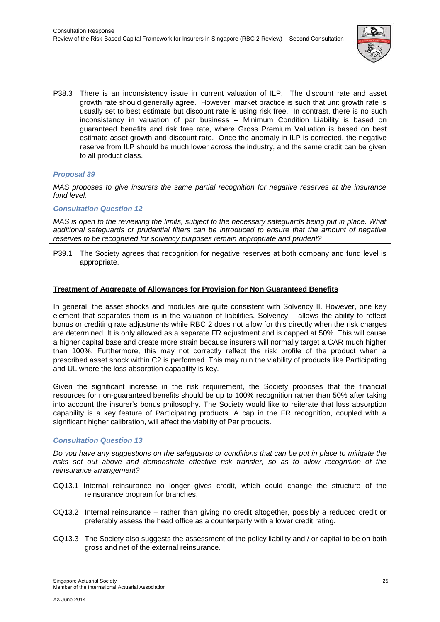

P38.3 There is an inconsistency issue in current valuation of ILP. The discount rate and asset growth rate should generally agree. However, market practice is such that unit growth rate is usually set to best estimate but discount rate is using risk free. In contrast, there is no such inconsistency in valuation of par business – Minimum Condition Liability is based on guaranteed benefits and risk free rate, where Gross Premium Valuation is based on best estimate asset growth and discount rate. Once the anomaly in ILP is corrected, the negative reserve from ILP should be much lower across the industry, and the same credit can be given to all product class.

# <span id="page-29-0"></span>*Proposal 39*

*MAS proposes to give insurers the same partial recognition for negative reserves at the insurance fund level.*

# *Consultation Question 12*

*MAS is open to the reviewing the limits, subject to the necessary safeguards being put in place. What additional safeguards or prudential filters can be introduced to ensure that the amount of negative reserves to be recognised for solvency purposes remain appropriate and prudent?*

P39.1 The Society agrees that recognition for negative reserves at both company and fund level is appropriate.

# <span id="page-29-1"></span>**Treatment of Aggregate of Allowances for Provision for Non Guaranteed Benefits**

In general, the asset shocks and modules are quite consistent with Solvency II. However, one key element that separates them is in the valuation of liabilities. Solvency II allows the ability to reflect bonus or crediting rate adjustments while RBC 2 does not allow for this directly when the risk charges are determined. It is only allowed as a separate FR adjustment and is capped at 50%. This will cause a higher capital base and create more strain because insurers will normally target a CAR much higher than 100%. Furthermore, this may not correctly reflect the risk profile of the product when a prescribed asset shock within C2 is performed. This may ruin the viability of products like Participating and UL where the loss absorption capability is key.

Given the significant increase in the risk requirement, the Society proposes that the financial resources for non-guaranteed benefits should be up to 100% recognition rather than 50% after taking into account the insurer's bonus philosophy. The Society would like to reiterate that loss absorption capability is a key feature of Participating products. A cap in the FR recognition, coupled with a significant higher calibration, will affect the viability of Par products.

# *Consultation Question 13*

*Do you have any suggestions on the safeguards or conditions that can be put in place to mitigate the risks set out above and demonstrate effective risk transfer, so as to allow recognition of the reinsurance arrangement?*

- CQ13.1 Internal reinsurance no longer gives credit, which could change the structure of the reinsurance program for branches.
- CQ13.2 Internal reinsurance rather than giving no credit altogether, possibly a reduced credit or preferably assess the head office as a counterparty with a lower credit rating.
- CQ13.3 The Society also suggests the assessment of the policy liability and / or capital to be on both gross and net of the external reinsurance.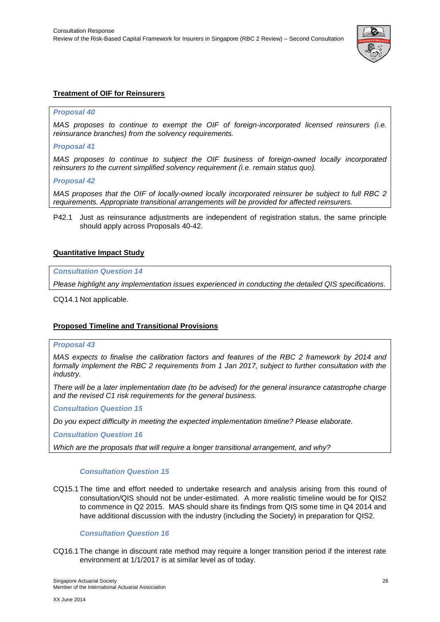

# <span id="page-30-0"></span>**Treatment of OIF for Reinsurers**

# <span id="page-30-1"></span>*Proposal 40*

*MAS proposes to continue to exempt the OIF of foreign-incorporated licensed reinsurers (i.e. reinsurance branches) from the solvency requirements.*

# <span id="page-30-2"></span>*Proposal 41*

*MAS proposes to continue to subject the OIF business of foreign-owned locally incorporated reinsurers to the current simplified solvency requirement (i.e. remain status quo).*

#### <span id="page-30-3"></span>*Proposal 42*

*MAS proposes that the OIF of locally-owned locally incorporated reinsurer be subject to full RBC 2 requirements. Appropriate transitional arrangements will be provided for affected reinsurers.*

P42.1 Just as reinsurance adjustments are independent of registration status, the same principle should apply across Proposals 40-42.

# <span id="page-30-4"></span>**Quantitative Impact Study**

# *Consultation Question 14*

*Please highlight any implementation issues experienced in conducting the detailed QIS specifications.*

CQ14.1 Not applicable.

# <span id="page-30-5"></span>**Proposed Timeline and Transitional Provisions**

# <span id="page-30-6"></span>*Proposal 43*

*MAS expects to finalise the calibration factors and features of the RBC 2 framework by 2014 and formally implement the RBC 2 requirements from 1 Jan 2017, subject to further consultation with the industry.* 

*There will be a later implementation date (to be advised) for the general insurance catastrophe charge and the revised C1 risk requirements for the general business.*

*Consultation Question 15*

*Do you expect difficulty in meeting the expected implementation timeline? Please elaborate.*

*Consultation Question 16*

*Which are the proposals that will require a longer transitional arrangement, and why?*

# *Consultation Question 15*

CQ15.1 The time and effort needed to undertake research and analysis arising from this round of consultation/QIS should not be under-estimated. A more realistic timeline would be for QIS2 to commence in Q2 2015. MAS should share its findings from QIS some time in Q4 2014 and have additional discussion with the industry (including the Society) in preparation for QIS2.

# *Consultation Question 16*

CQ16.1 The change in discount rate method may require a longer transition period if the interest rate environment at 1/1/2017 is at similar level as of today.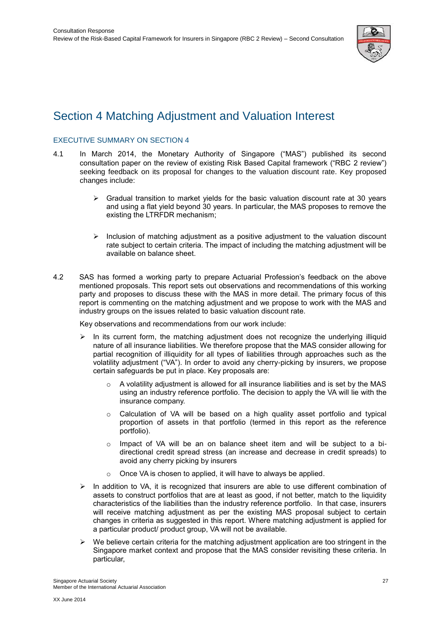

# <span id="page-31-0"></span>Section 4 Matching Adjustment and Valuation Interest

# <span id="page-31-1"></span>EXECUTIVE SUMMARY ON SECTION 4

- 4.1 In March 2014, the Monetary Authority of Singapore ("MAS") published its second consultation paper on the review of existing Risk Based Capital framework ("RBC 2 review") seeking feedback on its proposal for changes to the valuation discount rate. Key proposed changes include:
	- $\triangleright$  Gradual transition to market yields for the basic valuation discount rate at 30 years and using a flat yield beyond 30 years. In particular, the MAS proposes to remove the existing the LTRFDR mechanism;
	- $\triangleright$  Inclusion of matching adjustment as a positive adjustment to the valuation discount rate subject to certain criteria. The impact of including the matching adjustment will be available on balance sheet.
- 4.2 SAS has formed a working party to prepare Actuarial Profession's feedback on the above mentioned proposals. This report sets out observations and recommendations of this working party and proposes to discuss these with the MAS in more detail. The primary focus of this report is commenting on the matching adjustment and we propose to work with the MAS and industry groups on the issues related to basic valuation discount rate.

Key observations and recommendations from our work include:

- $\triangleright$  In its current form, the matching adjustment does not recognize the underlying illiquid nature of all insurance liabilities. We therefore propose that the MAS consider allowing for partial recognition of illiquidity for all types of liabilities through approaches such as the volatility adjustment ("VA"). In order to avoid any cherry-picking by insurers, we propose certain safeguards be put in place. Key proposals are:
	- $\circ$  A volatility adjustment is allowed for all insurance liabilities and is set by the MAS using an industry reference portfolio. The decision to apply the VA will lie with the insurance company.
	- o Calculation of VA will be based on a high quality asset portfolio and typical proportion of assets in that portfolio (termed in this report as the reference portfolio).
	- $\circ$  Impact of VA will be an on balance sheet item and will be subject to a bidirectional credit spread stress (an increase and decrease in credit spreads) to avoid any cherry picking by insurers
	- o Once VA is chosen to applied, it will have to always be applied.
- $\triangleright$  In addition to VA, it is recognized that insurers are able to use different combination of assets to construct portfolios that are at least as good, if not better, match to the liquidity characteristics of the liabilities than the industry reference portfolio. In that case, insurers will receive matching adjustment as per the existing MAS proposal subject to certain changes in criteria as suggested in this report. Where matching adjustment is applied for a particular product/ product group, VA will not be available.
- $\triangleright$  We believe certain criteria for the matching adjustment application are too stringent in the Singapore market context and propose that the MAS consider revisiting these criteria. In particular,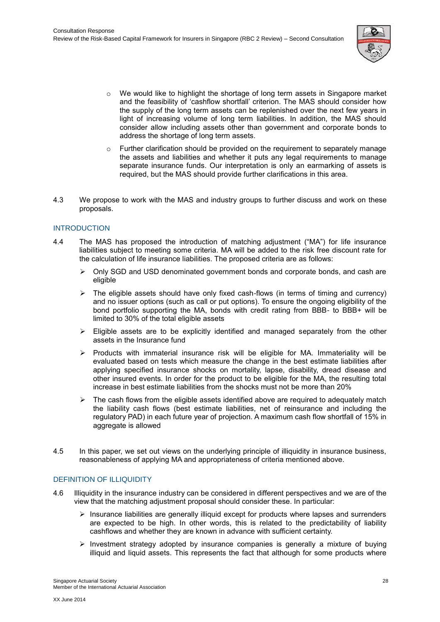

- $\circ$  We would like to highlight the shortage of long term assets in Singapore market and the feasibility of 'cashflow shortfall' criterion. The MAS should consider how the supply of the long term assets can be replenished over the next few years in light of increasing volume of long term liabilities. In addition, the MAS should consider allow including assets other than government and corporate bonds to address the shortage of long term assets.
- $\circ$  Further clarification should be provided on the requirement to separately manage the assets and liabilities and whether it puts any legal requirements to manage separate insurance funds. Our interpretation is only an earmarking of assets is required, but the MAS should provide further clarifications in this area.
- 4.3 We propose to work with the MAS and industry groups to further discuss and work on these proposals.

# <span id="page-32-0"></span>INTRODUCTION

- 4.4 The MAS has proposed the introduction of matching adjustment ("MA") for life insurance liabilities subject to meeting some criteria. MA will be added to the risk free discount rate for the calculation of life insurance liabilities. The proposed criteria are as follows:
	- $\triangleright$  Only SGD and USD denominated government bonds and corporate bonds, and cash are eligible
	- $\triangleright$  The eligible assets should have only fixed cash-flows (in terms of timing and currency) and no issuer options (such as call or put options). To ensure the ongoing eligibility of the bond portfolio supporting the MA, bonds with credit rating from BBB- to BBB+ will be limited to 30% of the total eligible assets
	- $\triangleright$  Eligible assets are to be explicitly identified and managed separately from the other assets in the Insurance fund
	- $\triangleright$  Products with immaterial insurance risk will be eligible for MA. Immateriality will be evaluated based on tests which measure the change in the best estimate liabilities after applying specified insurance shocks on mortality, lapse, disability, dread disease and other insured events. In order for the product to be eligible for the MA, the resulting total increase in best estimate liabilities from the shocks must not be more than 20%
	- $\triangleright$  The cash flows from the eligible assets identified above are required to adequately match the liability cash flows (best estimate liabilities, net of reinsurance and including the regulatory PAD) in each future year of projection. A maximum cash flow shortfall of 15% in aggregate is allowed
- 4.5 In this paper, we set out views on the underlying principle of illiquidity in insurance business, reasonableness of applying MA and appropriateness of criteria mentioned above.

# <span id="page-32-1"></span>DEFINITION OF ILLIQUIDITY

- 4.6 Illiquidity in the insurance industry can be considered in different perspectives and we are of the view that the matching adjustment proposal should consider these. In particular:
	- $\triangleright$  Insurance liabilities are generally illiquid except for products where lapses and surrenders are expected to be high. In other words, this is related to the predictability of liability cashflows and whether they are known in advance with sufficient certainty.
	- $\triangleright$  Investment strategy adopted by insurance companies is generally a mixture of buying illiquid and liquid assets. This represents the fact that although for some products where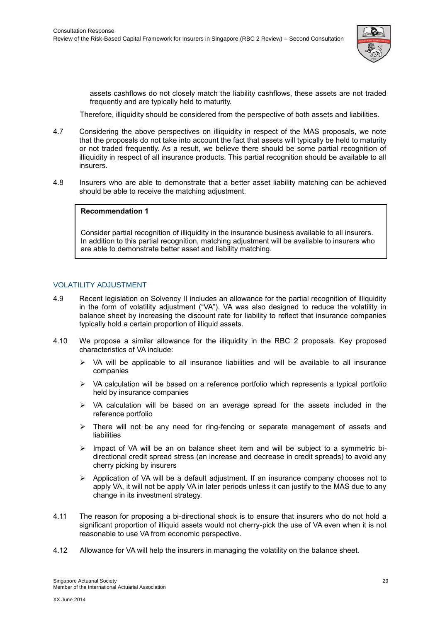

assets cashflows do not closely match the liability cashflows, these assets are not traded frequently and are typically held to maturity.

Therefore, illiquidity should be considered from the perspective of both assets and liabilities.

- 4.7 Considering the above perspectives on illiquidity in respect of the MAS proposals, we note that the proposals do not take into account the fact that assets will typically be held to maturity or not traded frequently. As a result, we believe there should be some partial recognition of illiquidity in respect of all insurance products. This partial recognition should be available to all insurers.
- 4.8 Insurers who are able to demonstrate that a better asset liability matching can be achieved should be able to receive the matching adjustment.

# **1. Recommendation 1**

**2.** Consider partial recognition of illiquidity in the insurance business available to all insurers. In addition to this partial recognition, matching adjustment will be available to insurers who are able to demonstrate better asset and liability matching.

# <span id="page-33-0"></span>VOLATILITY ADJUSTMENT

- 4.9 Recent legislation on Solvency II includes an allowance for the partial recognition of illiquidity in the form of volatility adjustment ("VA"). VA was also designed to reduce the volatility in balance sheet by increasing the discount rate for liability to reflect that insurance companies typically hold a certain proportion of illiquid assets.
- 4.10 We propose a similar allowance for the illiquidity in the RBC 2 proposals. Key proposed characteristics of VA include:
	- $\triangleright$  VA will be applicable to all insurance liabilities and will be available to all insurance companies
	- $\triangleright$  VA calculation will be based on a reference portfolio which represents a typical portfolio held by insurance companies
	- VA calculation will be based on an average spread for the assets included in the reference portfolio
	- $\triangleright$  There will not be any need for ring-fencing or separate management of assets and liabilities
	- $\triangleright$  Impact of VA will be an on balance sheet item and will be subject to a symmetric bidirectional credit spread stress (an increase and decrease in credit spreads) to avoid any cherry picking by insurers
	- $\triangleright$  Application of VA will be a default adjustment. If an insurance company chooses not to apply VA, it will not be apply VA in later periods unless it can justify to the MAS due to any change in its investment strategy.
- 4.11 The reason for proposing a bi-directional shock is to ensure that insurers who do not hold a significant proportion of illiquid assets would not cherry-pick the use of VA even when it is not reasonable to use VA from economic perspective.
- 4.12 Allowance for VA will help the insurers in managing the volatility on the balance sheet.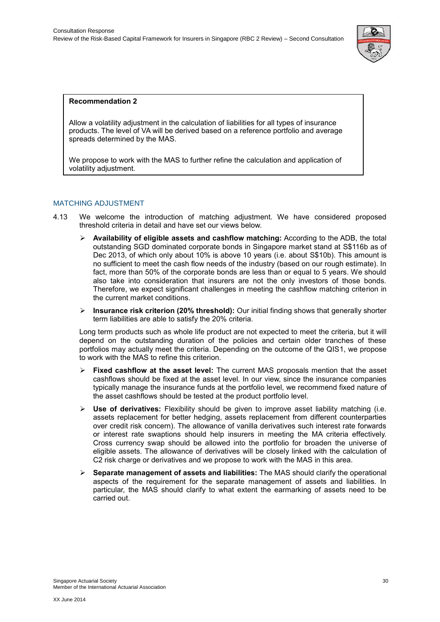

# **3. Recommendation 2**

Allow a volatility adjustment in the calculation of liabilities for all types of insurance products. The level of VA will be derived based on a reference portfolio and average spreads determined by the MAS.

<span id="page-34-0"></span>We propose to work with the MAS to further refine the calculation and application of volatility adjustment.

# MATCHING ADJUSTMENT

- 4.13 We welcome the introduction of matching adjustment. We have considered proposed threshold criteria in detail and have set our views below.
	- **Availability of eligible assets and cashflow matching:** According to the ADB, the total outstanding SGD dominated corporate bonds in Singapore market stand at S\$116b as of Dec 2013, of which only about 10% is above 10 years (i.e. about S\$10b). This amount is no sufficient to meet the cash flow needs of the industry (based on our rough estimate). In fact, more than 50% of the corporate bonds are less than or equal to 5 years. We should also take into consideration that insurers are not the only investors of those bonds. Therefore, we expect significant challenges in meeting the cashflow matching criterion in the current market conditions.
	- **Insurance risk criterion (20% threshold):** Our initial finding shows that generally shorter term liabilities are able to satisfy the 20% criteria.

Long term products such as whole life product are not expected to meet the criteria, but it will depend on the outstanding duration of the policies and certain older tranches of these portfolios may actually meet the criteria. Depending on the outcome of the QIS1, we propose to work with the MAS to refine this criterion.

- **Fixed cashflow at the asset level:** The current MAS proposals mention that the asset cashflows should be fixed at the asset level. In our view, since the insurance companies typically manage the insurance funds at the portfolio level, we recommend fixed nature of the asset cashflows should be tested at the product portfolio level.
- **Use of derivatives:** Flexibility should be given to improve asset liability matching (i.e. assets replacement for better hedging, assets replacement from different counterparties over credit risk concern). The allowance of vanilla derivatives such interest rate forwards or interest rate swaptions should help insurers in meeting the MA criteria effectively. Cross currency swap should be allowed into the portfolio for broaden the universe of eligible assets. The allowance of derivatives will be closely linked with the calculation of C2 risk charge or derivatives and we propose to work with the MAS in this area.
- **Separate management of assets and liabilities:** The MAS should clarify the operational aspects of the requirement for the separate management of assets and liabilities. In particular, the MAS should clarify to what extent the earmarking of assets need to be carried out.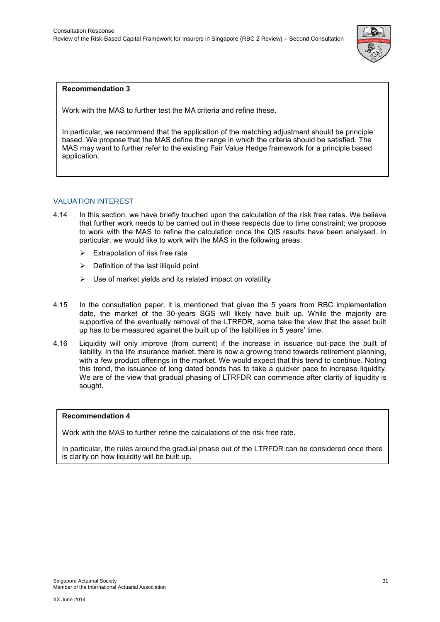

# **4. Recommendation 3**

**5.** Work with the MAS to further test the MA criteria and refine these.

**6.** In particular, we recommend that the application of the matching adjustment should be principle based. We propose that the MAS define the range in which the criteria should be satisfied. The MAS may want to further refer to the existing Fair Value Hedge framework for a principle based application.

# <span id="page-35-0"></span>VALUATION INTEREST

- 4.14 In this section, we have briefly touched upon the calculation of the risk free rates. We believe that further work needs to be carried out in these respects due to time constraint; we propose to work with the MAS to refine the calculation once the QIS results have been analysed. In particular, we would like to work with the MAS in the following areas:
	- $\triangleright$  Extrapolation of risk free rate
	- $\triangleright$  Definition of the last illiquid point
	- $\triangleright$  Use of market yields and its related impact on volatility
- 4.15 In the consultation paper, it is mentioned that given the 5 years from RBC implementation date, the market of the 30-years SGS will likely have built up. While the majority are supportive of the eventually removal of the LTRFDR, some take the view that the asset built up has to be measured against the built up of the liabilities in 5 years' time.
- 4.16 Liquidity will only improve (from current) if the increase in issuance out-pace the built of liability. In the life insurance market, there is now a growing trend towards retirement planning, with a few product offerings in the market. We would expect that this trend to continue. Noting this trend, the issuance of long dated bonds has to take a quicker pace to increase liquidity. We are of the view that gradual phasing of LTRFDR can commence after clarity of liquidity is sought.

# **Recommendation 4**

Work with the MAS to further refine the calculations of the risk free rate.

In particular, the rules around the gradual phase out of the LTRFDR can be considered once there is clarity on how liquidity will be built up.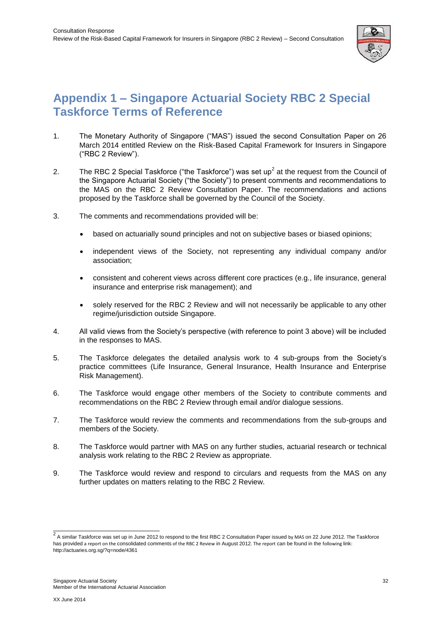

# <span id="page-36-0"></span>**Appendix 1 – Singapore Actuarial Society RBC 2 Special Taskforce Terms of Reference**

- 1. The Monetary Authority of Singapore ("MAS") issued the second Consultation Paper on 26 March 2014 entitled Review on the Risk-Based Capital Framework for Insurers in Singapore ("RBC 2 Review").
- 2. The RBC 2 Special Taskforce ("the Taskforce") was set up<sup>2</sup> at the request from the Council of the Singapore Actuarial Society ("the Society") to present comments and recommendations to the MAS on the RBC 2 Review Consultation Paper. The recommendations and actions proposed by the Taskforce shall be governed by the Council of the Society.
- 3. The comments and recommendations provided will be:
	- based on actuarially sound principles and not on subjective bases or biased opinions;
	- independent views of the Society, not representing any individual company and/or association;
	- consistent and coherent views across different core practices (e.g., life insurance, general insurance and enterprise risk management); and
	- solely reserved for the RBC 2 Review and will not necessarily be applicable to any other regime/jurisdiction outside Singapore.
- 4. All valid views from the Society's perspective (with reference to point 3 above) will be included in the responses to MAS.
- 5. The Taskforce delegates the detailed analysis work to 4 sub-groups from the Society's practice committees (Life Insurance, General Insurance, Health Insurance and Enterprise Risk Management).
- 6. The Taskforce would engage other members of the Society to contribute comments and recommendations on the RBC 2 Review through email and/or dialogue sessions.
- 7. The Taskforce would review the comments and recommendations from the sub-groups and members of the Society.
- 8. The Taskforce would partner with MAS on any further studies, actuarial research or technical analysis work relating to the RBC 2 Review as appropriate.
- 9. The Taskforce would review and respond to circulars and requests from the MAS on any further updates on matters relating to the RBC 2 Review.

 2 A similar Taskforce was set up in June 2012 to respond to the first RBC 2 Consultation Paper issued by MAS on 22 June 2012. The Taskforce has provided a report on the consolidated comments of the RBC 2 Review in August 2012. The report can be found in the following link: http://actuaries.org.sg/?q=node/4361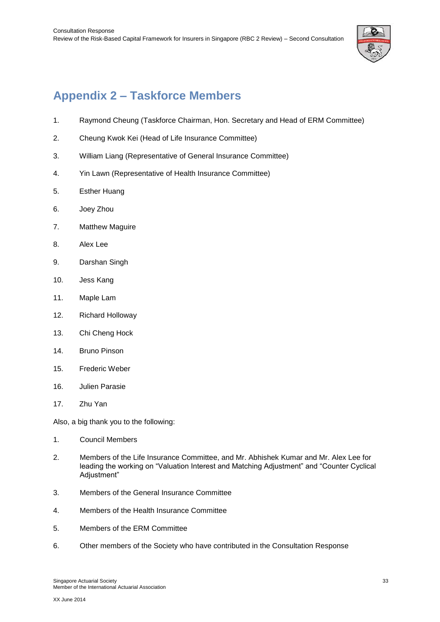

# <span id="page-37-0"></span>**Appendix 2 – Taskforce Members**

- 1. Raymond Cheung (Taskforce Chairman, Hon. Secretary and Head of ERM Committee)
- 2. Cheung Kwok Kei (Head of Life Insurance Committee)
- 3. William Liang (Representative of General Insurance Committee)
- 4. Yin Lawn (Representative of Health Insurance Committee)
- 5. Esther Huang
- 6. Joey Zhou
- 7. Matthew Maguire
- 8. Alex Lee
- 9. Darshan Singh
- 10. Jess Kang
- 11. Maple Lam
- 12. Richard Holloway
- 13. Chi Cheng Hock
- 14. Bruno Pinson
- 15. Frederic Weber
- 16. Julien Parasie
- 17. Zhu Yan

Also, a big thank you to the following:

- 1. Council Members
- 2. Members of the Life Insurance Committee, and Mr. Abhishek Kumar and Mr. Alex Lee for leading the working on "Valuation Interest and Matching Adjustment" and "Counter Cyclical Adjustment"
- 3. Members of the General Insurance Committee
- 4. Members of the Health Insurance Committee
- 5. Members of the ERM Committee
- 6. Other members of the Society who have contributed in the Consultation Response